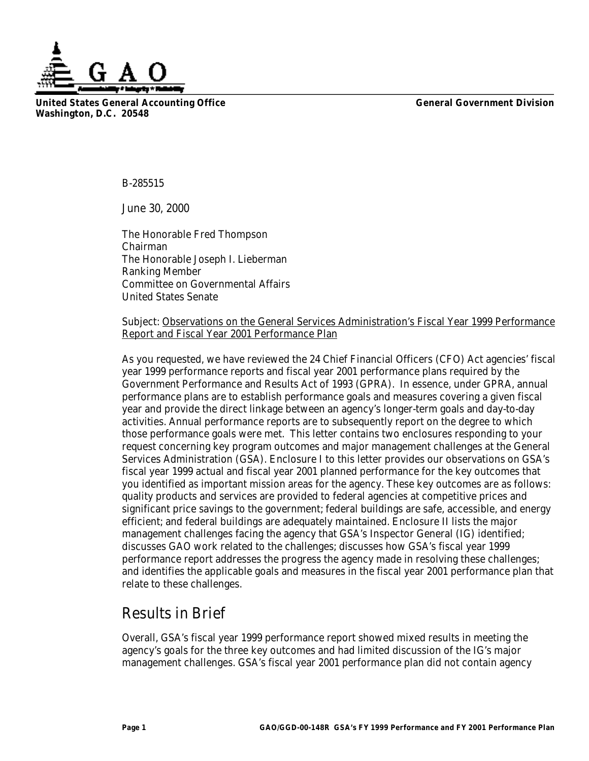**United States General Accounting Office General Government Division Washington, D.C. 20548**

B-285515

June 30, 2000

The Honorable Fred Thompson Chairman The Honorable Joseph I. Lieberman Ranking Member Committee on Governmental Affairs United States Senate

Subject: Observations on the General Services Administration's Fiscal Year 1999 Performance Report and Fiscal Year 2001 Performance Plan

As you requested, we have reviewed the 24 Chief Financial Officers (CFO) Act agencies' fiscal year 1999 performance reports and fiscal year 2001 performance plans required by the Government Performance and Results Act of 1993 (GPRA). In essence, under GPRA, annual performance plans are to establish performance goals and measures covering a given fiscal year and provide the direct linkage between an agency's longer-term goals and day-to-day activities. Annual performance reports are to subsequently report on the degree to which those performance goals were met. This letter contains two enclosures responding to your request concerning key program outcomes and major management challenges at the General Services Administration (GSA). Enclosure I to this letter provides our observations on GSA's fiscal year 1999 actual and fiscal year 2001 planned performance for the key outcomes that you identified as important mission areas for the agency. These key outcomes are as follows: quality products and services are provided to federal agencies at competitive prices and significant price savings to the government; federal buildings are safe, accessible, and energy efficient; and federal buildings are adequately maintained. Enclosure II lists the major management challenges facing the agency that GSA's Inspector General (IG) identified; discusses GAO work related to the challenges; discusses how GSA's fiscal year 1999 performance report addresses the progress the agency made in resolving these challenges; and identifies the applicable goals and measures in the fiscal year 2001 performance plan that relate to these challenges.

# Results in Brief

Overall, GSA's fiscal year 1999 performance report showed mixed results in meeting the agency's goals for the three key outcomes and had limited discussion of the IG's major management challenges. GSA's fiscal year 2001 performance plan did not contain agency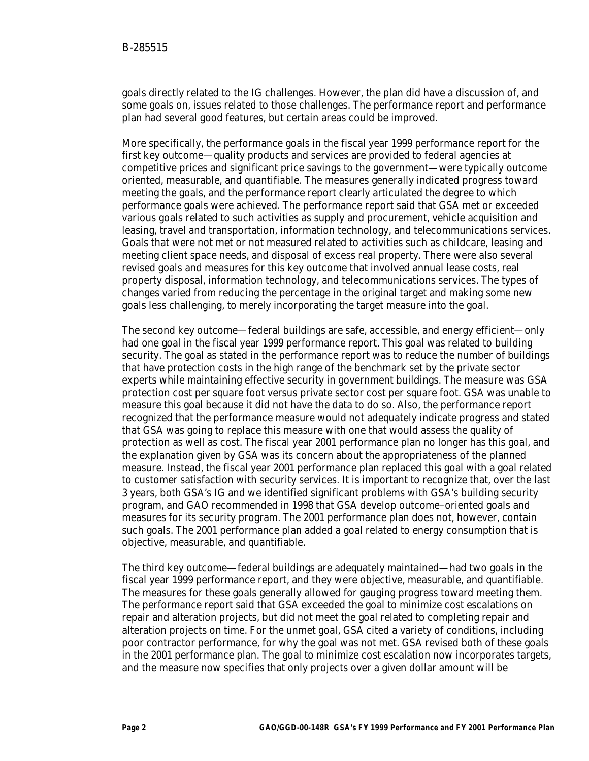goals directly related to the IG challenges. However, the plan did have a discussion of, and some goals on, issues related to those challenges. The performance report and performance plan had several good features, but certain areas could be improved.

More specifically, the performance goals in the fiscal year 1999 performance report for the first key outcome—quality products and services are provided to federal agencies at competitive prices and significant price savings to the government—were typically outcome oriented, measurable, and quantifiable. The measures generally indicated progress toward meeting the goals, and the performance report clearly articulated the degree to which performance goals were achieved. The performance report said that GSA met or exceeded various goals related to such activities as supply and procurement, vehicle acquisition and leasing, travel and transportation, information technology, and telecommunications services. Goals that were not met or not measured related to activities such as childcare, leasing and meeting client space needs, and disposal of excess real property. There were also several revised goals and measures for this key outcome that involved annual lease costs, real property disposal, information technology, and telecommunications services. The types of changes varied from reducing the percentage in the original target and making some new goals less challenging, to merely incorporating the target measure into the goal.

The second key outcome—federal buildings are safe, accessible, and energy efficient—only had one goal in the fiscal year 1999 performance report. This goal was related to building security. The goal as stated in the performance report was to reduce the number of buildings that have protection costs in the high range of the benchmark set by the private sector experts while maintaining effective security in government buildings. The measure was GSA protection cost per square foot versus private sector cost per square foot. GSA was unable to measure this goal because it did not have the data to do so. Also, the performance report recognized that the performance measure would not adequately indicate progress and stated that GSA was going to replace this measure with one that would assess the quality of protection as well as cost. The fiscal year 2001 performance plan no longer has this goal, and the explanation given by GSA was its concern about the appropriateness of the planned measure. Instead, the fiscal year 2001 performance plan replaced this goal with a goal related to customer satisfaction with security services. It is important to recognize that, over the last 3 years, both GSA's IG and we identified significant problems with GSA's building security program, and GAO recommended in 1998 that GSA develop outcome–oriented goals and measures for its security program. The 2001 performance plan does not, however, contain such goals. The 2001 performance plan added a goal related to energy consumption that is objective, measurable, and quantifiable.

The third key outcome—federal buildings are adequately maintained—had two goals in the fiscal year 1999 performance report, and they were objective, measurable, and quantifiable. The measures for these goals generally allowed for gauging progress toward meeting them. The performance report said that GSA exceeded the goal to minimize cost escalations on repair and alteration projects, but did not meet the goal related to completing repair and alteration projects on time. For the unmet goal, GSA cited a variety of conditions, including poor contractor performance, for why the goal was not met. GSA revised both of these goals in the 2001 performance plan. The goal to minimize cost escalation now incorporates targets, and the measure now specifies that only projects over a given dollar amount will be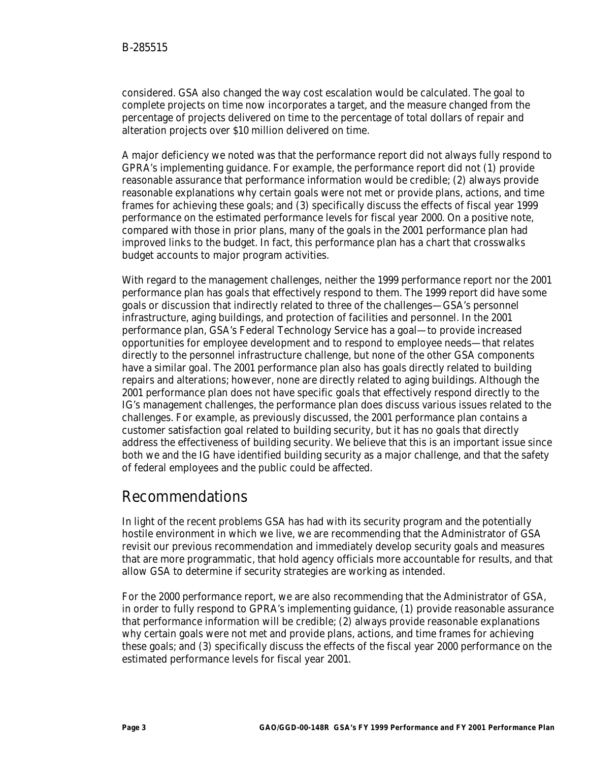considered. GSA also changed the way cost escalation would be calculated. The goal to complete projects on time now incorporates a target, and the measure changed from the percentage of projects delivered on time to the percentage of total dollars of repair and alteration projects over \$10 million delivered on time.

A major deficiency we noted was that the performance report did not always fully respond to GPRA's implementing guidance. For example, the performance report did not (1) provide reasonable assurance that performance information would be credible; (2) always provide reasonable explanations why certain goals were not met or provide plans, actions, and time frames for achieving these goals; and (3) specifically discuss the effects of fiscal year 1999 performance on the estimated performance levels for fiscal year 2000. On a positive note, compared with those in prior plans, many of the goals in the 2001 performance plan had improved links to the budget. In fact, this performance plan has a chart that crosswalks budget accounts to major program activities.

With regard to the management challenges, neither the 1999 performance report nor the 2001 performance plan has goals that effectively respond to them. The 1999 report did have some goals or discussion that indirectly related to three of the challenges—GSA's personnel infrastructure, aging buildings, and protection of facilities and personnel. In the 2001 performance plan, GSA's Federal Technology Service has a goal—to provide increased opportunities for employee development and to respond to employee needs—that relates directly to the personnel infrastructure challenge, but none of the other GSA components have a similar goal. The 2001 performance plan also has goals directly related to building repairs and alterations; however, none are directly related to aging buildings. Although the 2001 performance plan does not have specific goals that effectively respond directly to the IG's management challenges, the performance plan does discuss various issues related to the challenges. For example, as previously discussed, the 2001 performance plan contains a customer satisfaction goal related to building security, but it has no goals that directly address the effectiveness of building security. We believe that this is an important issue since both we and the IG have identified building security as a major challenge, and that the safety of federal employees and the public could be affected.

# Recommendations

In light of the recent problems GSA has had with its security program and the potentially hostile environment in which we live, we are recommending that the Administrator of GSA revisit our previous recommendation and immediately develop security goals and measures that are more programmatic, that hold agency officials more accountable for results, and that allow GSA to determine if security strategies are working as intended.

For the 2000 performance report, we are also recommending that the Administrator of GSA, in order to fully respond to GPRA's implementing guidance, (1) provide reasonable assurance that performance information will be credible; (2) always provide reasonable explanations why certain goals were not met and provide plans, actions, and time frames for achieving these goals; and (3) specifically discuss the effects of the fiscal year 2000 performance on the estimated performance levels for fiscal year 2001.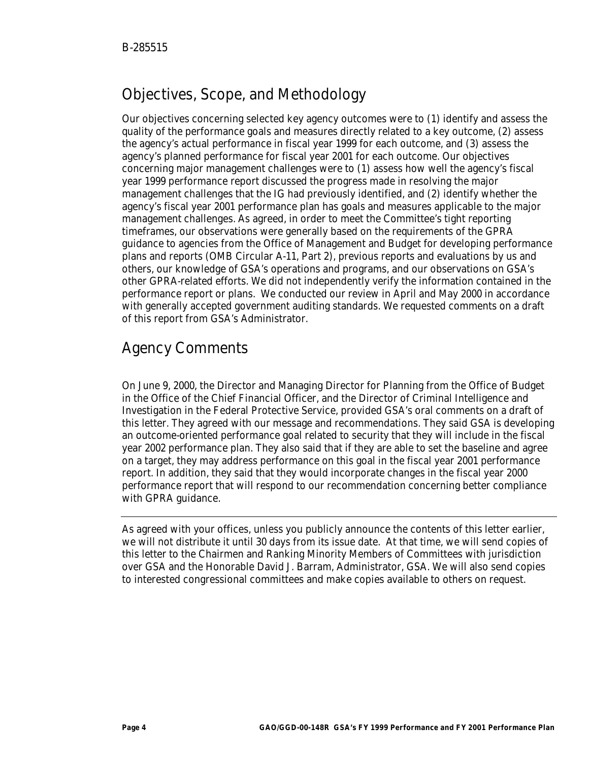# Objectives, Scope, and Methodology

Our objectives concerning selected key agency outcomes were to (1) identify and assess the quality of the performance goals and measures directly related to a key outcome, (2) assess the agency's actual performance in fiscal year 1999 for each outcome, and (3) assess the agency's planned performance for fiscal year 2001 for each outcome. Our objectives concerning major management challenges were to (1) assess how well the agency's fiscal year 1999 performance report discussed the progress made in resolving the major management challenges that the IG had previously identified, and (2) identify whether the agency's fiscal year 2001 performance plan has goals and measures applicable to the major management challenges. As agreed, in order to meet the Committee's tight reporting timeframes, our observations were generally based on the requirements of the GPRA guidance to agencies from the Office of Management and Budget for developing performance plans and reports (OMB Circular A-11, Part 2), previous reports and evaluations by us and others, our knowledge of GSA's operations and programs, and our observations on GSA's other GPRA-related efforts. We did not independently verify the information contained in the performance report or plans. We conducted our review in April and May 2000 in accordance with generally accepted government auditing standards. We requested comments on a draft of this report from GSA's Administrator.

# Agency Comments

On June 9, 2000, the Director and Managing Director for Planning from the Office of Budget in the Office of the Chief Financial Officer, and the Director of Criminal Intelligence and Investigation in the Federal Protective Service, provided GSA's oral comments on a draft of this letter. They agreed with our message and recommendations. They said GSA is developing an outcome-oriented performance goal related to security that they will include in the fiscal year 2002 performance plan. They also said that if they are able to set the baseline and agree on a target, they may address performance on this goal in the fiscal year 2001 performance report. In addition, they said that they would incorporate changes in the fiscal year 2000 performance report that will respond to our recommendation concerning better compliance with GPRA guidance.

As agreed with your offices, unless you publicly announce the contents of this letter earlier, we will not distribute it until 30 days from its issue date. At that time, we will send copies of this letter to the Chairmen and Ranking Minority Members of Committees with jurisdiction over GSA and the Honorable David J. Barram, Administrator, GSA. We will also send copies to interested congressional committees and make copies available to others on request.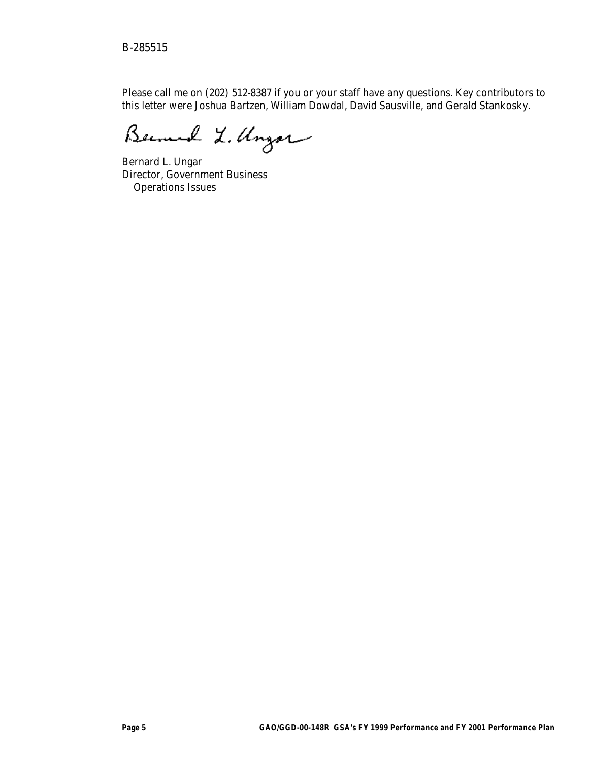Please call me on (202) 512-8387 if you or your staff have any questions. Key contributors to this letter were Joshua Bartzen, William Dowdal, David Sausville, and Gerald Stankosky.

Bernard L. Ungar

Bernard L. Ungar Director, Government Business Operations Issues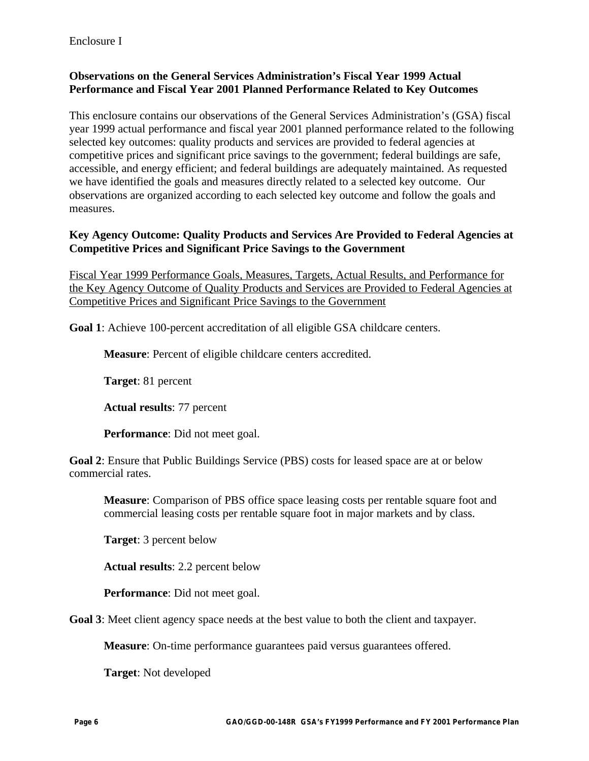### **Observations on the General Services Administration's Fiscal Year 1999 Actual Performance and Fiscal Year 2001 Planned Performance Related to Key Outcomes**

This enclosure contains our observations of the General Services Administration's (GSA) fiscal year 1999 actual performance and fiscal year 2001 planned performance related to the following selected key outcomes: quality products and services are provided to federal agencies at competitive prices and significant price savings to the government; federal buildings are safe, accessible, and energy efficient; and federal buildings are adequately maintained. As requested we have identified the goals and measures directly related to a selected key outcome. Our observations are organized according to each selected key outcome and follow the goals and measures.

#### **Key Agency Outcome: Quality Products and Services Are Provided to Federal Agencies at Competitive Prices and Significant Price Savings to the Government**

Fiscal Year 1999 Performance Goals, Measures, Targets, Actual Results, and Performance for the Key Agency Outcome of Quality Products and Services are Provided to Federal Agencies at Competitive Prices and Significant Price Savings to the Government

**Goal 1**: Achieve 100-percent accreditation of all eligible GSA childcare centers.

**Measure**: Percent of eligible childcare centers accredited.

**Target**: 81 percent

**Actual results**: 77 percent

**Performance**: Did not meet goal.

**Goal 2**: Ensure that Public Buildings Service (PBS) costs for leased space are at or below commercial rates.

**Measure**: Comparison of PBS office space leasing costs per rentable square foot and commercial leasing costs per rentable square foot in major markets and by class.

**Target**: 3 percent below

**Actual results**: 2.2 percent below

**Performance**: Did not meet goal.

**Goal 3**: Meet client agency space needs at the best value to both the client and taxpayer.

**Measure**: On-time performance guarantees paid versus guarantees offered.

**Target**: Not developed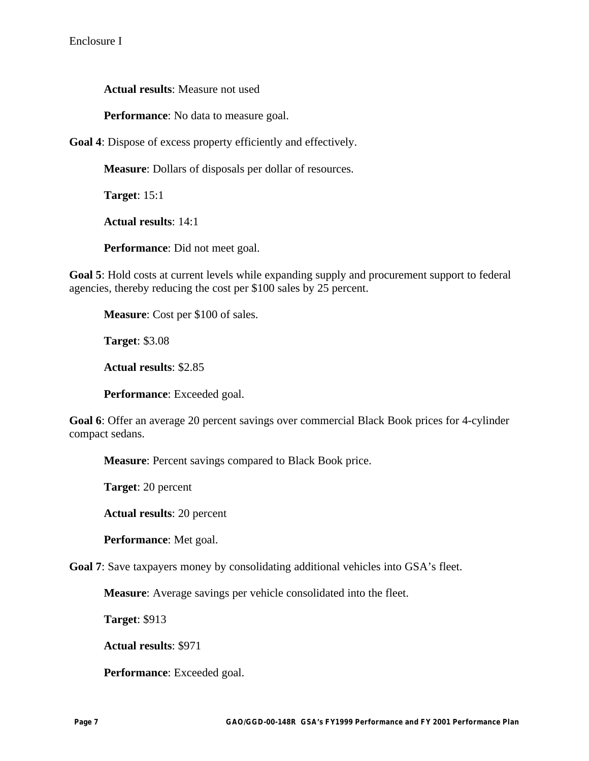**Actual results**: Measure not used

**Performance**: No data to measure goal.

**Goal 4**: Dispose of excess property efficiently and effectively.

**Measure**: Dollars of disposals per dollar of resources.

**Target**: 15:1

**Actual results**: 14:1

**Performance**: Did not meet goal.

**Goal 5**: Hold costs at current levels while expanding supply and procurement support to federal agencies, thereby reducing the cost per \$100 sales by 25 percent.

**Measure**: Cost per \$100 of sales.

**Target**: \$3.08

**Actual results**: \$2.85

**Performance**: Exceeded goal.

**Goal 6**: Offer an average 20 percent savings over commercial Black Book prices for 4-cylinder compact sedans.

**Measure**: Percent savings compared to Black Book price.

**Target**: 20 percent

**Actual results**: 20 percent

**Performance**: Met goal.

**Goal 7**: Save taxpayers money by consolidating additional vehicles into GSA's fleet.

**Measure**: Average savings per vehicle consolidated into the fleet.

**Target**: \$913

**Actual results**: \$971

**Performance**: Exceeded goal.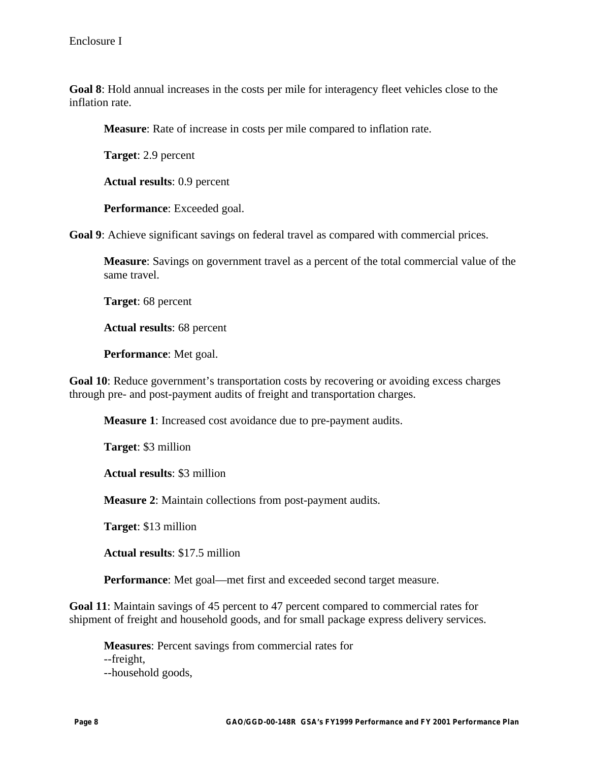**Goal 8**: Hold annual increases in the costs per mile for interagency fleet vehicles close to the inflation rate.

**Measure**: Rate of increase in costs per mile compared to inflation rate.

**Target**: 2.9 percent

**Actual results**: 0.9 percent

**Performance**: Exceeded goal.

**Goal 9**: Achieve significant savings on federal travel as compared with commercial prices.

**Measure**: Savings on government travel as a percent of the total commercial value of the same travel.

**Target**: 68 percent

**Actual results**: 68 percent

**Performance**: Met goal.

**Goal 10**: Reduce government's transportation costs by recovering or avoiding excess charges through pre- and post-payment audits of freight and transportation charges.

**Measure 1**: Increased cost avoidance due to pre-payment audits.

**Target**: \$3 million

**Actual results**: \$3 million

**Measure 2**: Maintain collections from post-payment audits.

**Target**: \$13 million

**Actual results**: \$17.5 million

**Performance**: Met goal—met first and exceeded second target measure.

**Goal 11**: Maintain savings of 45 percent to 47 percent compared to commercial rates for shipment of freight and household goods, and for small package express delivery services.

**Measures**: Percent savings from commercial rates for --freight, --household goods,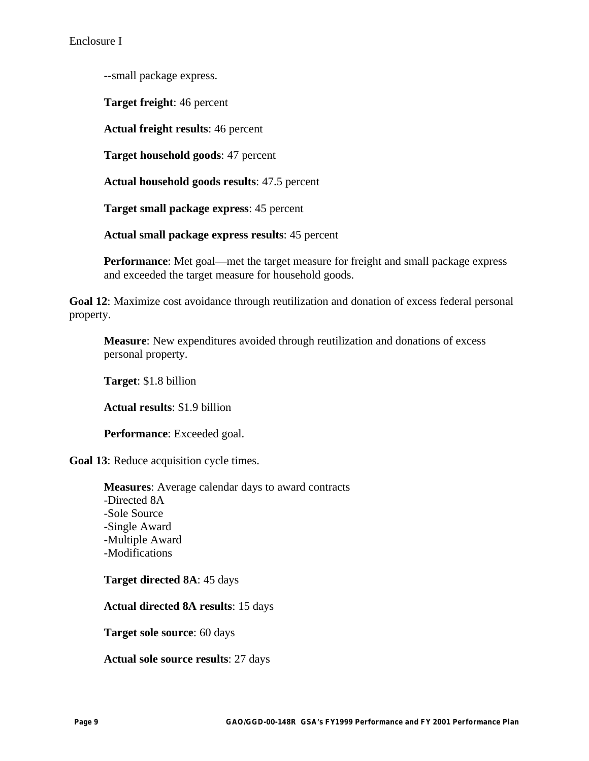--small package express.

**Target freight**: 46 percent

**Actual freight results**: 46 percent

**Target household goods**: 47 percent

**Actual household goods results**: 47.5 percent

**Target small package express**: 45 percent

**Actual small package express results**: 45 percent

**Performance**: Met goal—met the target measure for freight and small package express and exceeded the target measure for household goods.

**Goal 12**: Maximize cost avoidance through reutilization and donation of excess federal personal property.

**Measure**: New expenditures avoided through reutilization and donations of excess personal property.

**Target**: \$1.8 billion

**Actual results**: \$1.9 billion

**Performance**: Exceeded goal.

**Goal 13**: Reduce acquisition cycle times.

**Measures**: Average calendar days to award contracts -Directed 8A -Sole Source -Single Award -Multiple Award -Modifications

**Target directed 8A**: 45 days

**Actual directed 8A results**: 15 days

**Target sole source**: 60 days

**Actual sole source results**: 27 days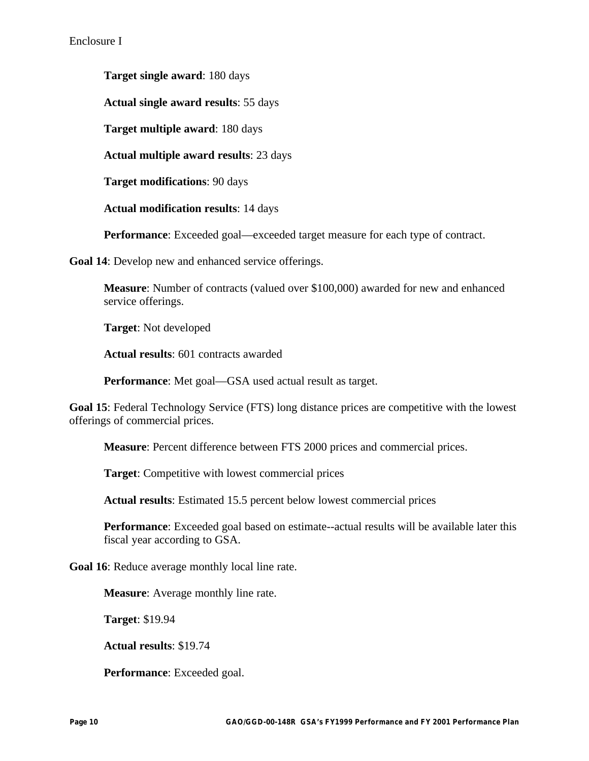**Target single award**: 180 days

**Actual single award results**: 55 days

**Target multiple award**: 180 days

**Actual multiple award results**: 23 days

**Target modifications**: 90 days

**Actual modification results**: 14 days

**Performance**: Exceeded goal—exceeded target measure for each type of contract.

**Goal 14**: Develop new and enhanced service offerings.

**Measure**: Number of contracts (valued over \$100,000) awarded for new and enhanced service offerings.

**Target**: Not developed

**Actual results**: 601 contracts awarded

**Performance**: Met goal—GSA used actual result as target.

**Goal 15**: Federal Technology Service (FTS) long distance prices are competitive with the lowest offerings of commercial prices.

**Measure**: Percent difference between FTS 2000 prices and commercial prices.

**Target**: Competitive with lowest commercial prices

**Actual results**: Estimated 15.5 percent below lowest commercial prices

**Performance**: Exceeded goal based on estimate--actual results will be available later this fiscal year according to GSA.

**Goal 16**: Reduce average monthly local line rate.

**Measure**: Average monthly line rate.

**Target**: \$19.94

**Actual results**: \$19.74

**Performance**: Exceeded goal.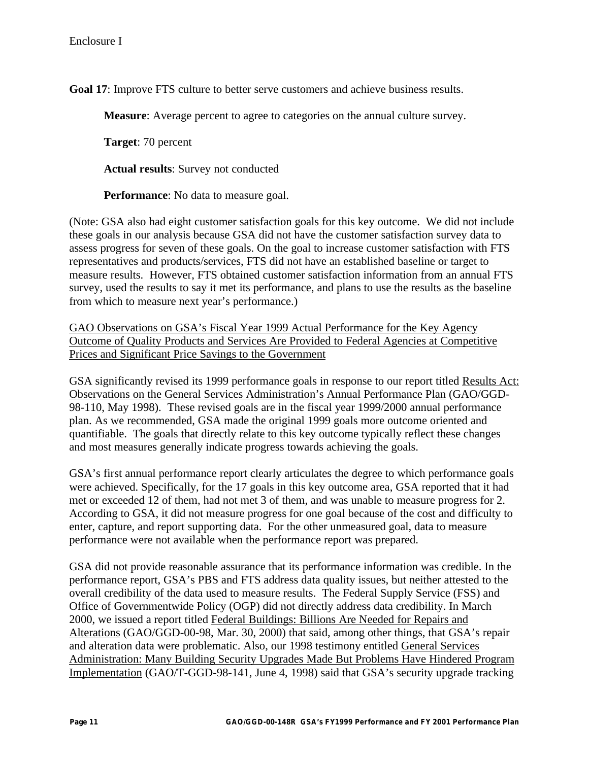**Goal 17**: Improve FTS culture to better serve customers and achieve business results.

**Measure**: Average percent to agree to categories on the annual culture survey.

**Target**: 70 percent

**Actual results**: Survey not conducted

**Performance**: No data to measure goal.

(Note: GSA also had eight customer satisfaction goals for this key outcome. We did not include these goals in our analysis because GSA did not have the customer satisfaction survey data to assess progress for seven of these goals. On the goal to increase customer satisfaction with FTS representatives and products/services, FTS did not have an established baseline or target to measure results. However, FTS obtained customer satisfaction information from an annual FTS survey, used the results to say it met its performance, and plans to use the results as the baseline from which to measure next year's performance.)

GAO Observations on GSA's Fiscal Year 1999 Actual Performance for the Key Agency Outcome of Quality Products and Services Are Provided to Federal Agencies at Competitive Prices and Significant Price Savings to the Government

GSA significantly revised its 1999 performance goals in response to our report titled Results Act: Observations on the General Services Administration's Annual Performance Plan (GAO/GGD-98-110, May 1998). These revised goals are in the fiscal year 1999/2000 annual performance plan. As we recommended, GSA made the original 1999 goals more outcome oriented and quantifiable. The goals that directly relate to this key outcome typically reflect these changes and most measures generally indicate progress towards achieving the goals.

GSA's first annual performance report clearly articulates the degree to which performance goals were achieved. Specifically, for the 17 goals in this key outcome area, GSA reported that it had met or exceeded 12 of them, had not met 3 of them, and was unable to measure progress for 2. According to GSA, it did not measure progress for one goal because of the cost and difficulty to enter, capture, and report supporting data. For the other unmeasured goal, data to measure performance were not available when the performance report was prepared.

GSA did not provide reasonable assurance that its performance information was credible. In the performance report, GSA's PBS and FTS address data quality issues, but neither attested to the overall credibility of the data used to measure results. The Federal Supply Service (FSS) and Office of Governmentwide Policy (OGP) did not directly address data credibility. In March 2000, we issued a report titled Federal Buildings: Billions Are Needed for Repairs and Alterations (GAO/GGD-00-98, Mar. 30, 2000) that said, among other things, that GSA's repair and alteration data were problematic. Also, our 1998 testimony entitled General Services Administration: Many Building Security Upgrades Made But Problems Have Hindered Program Implementation (GAO/T-GGD-98-141, June 4, 1998) said that GSA's security upgrade tracking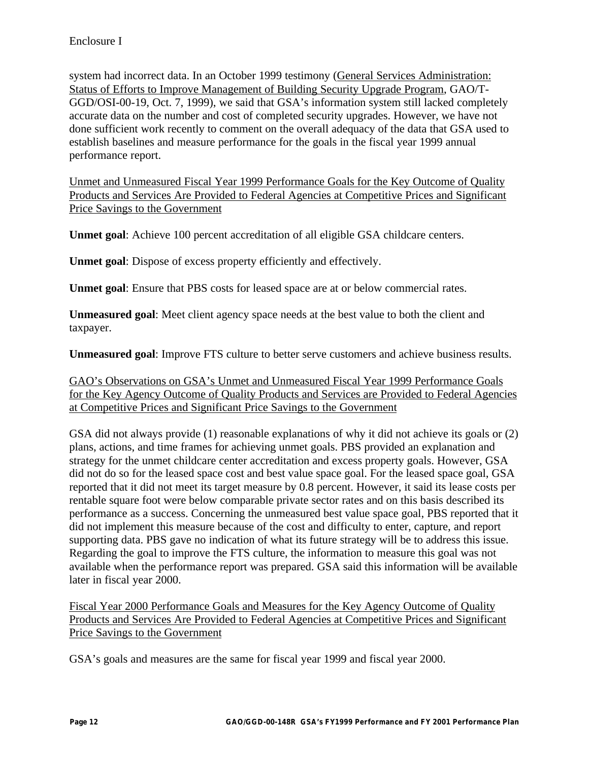system had incorrect data. In an October 1999 testimony (General Services Administration: Status of Efforts to Improve Management of Building Security Upgrade Program, GAO/T-GGD/OSI-00-19, Oct. 7, 1999), we said that GSA's information system still lacked completely accurate data on the number and cost of completed security upgrades. However, we have not done sufficient work recently to comment on the overall adequacy of the data that GSA used to establish baselines and measure performance for the goals in the fiscal year 1999 annual performance report.

Unmet and Unmeasured Fiscal Year 1999 Performance Goals for the Key Outcome of Quality Products and Services Are Provided to Federal Agencies at Competitive Prices and Significant Price Savings to the Government

**Unmet goal**: Achieve 100 percent accreditation of all eligible GSA childcare centers.

**Unmet goal**: Dispose of excess property efficiently and effectively.

**Unmet goal**: Ensure that PBS costs for leased space are at or below commercial rates.

**Unmeasured goal**: Meet client agency space needs at the best value to both the client and taxpayer.

**Unmeasured goal**: Improve FTS culture to better serve customers and achieve business results.

GAO's Observations on GSA's Unmet and Unmeasured Fiscal Year 1999 Performance Goals for the Key Agency Outcome of Quality Products and Services are Provided to Federal Agencies at Competitive Prices and Significant Price Savings to the Government

GSA did not always provide (1) reasonable explanations of why it did not achieve its goals or (2) plans, actions, and time frames for achieving unmet goals. PBS provided an explanation and strategy for the unmet childcare center accreditation and excess property goals. However, GSA did not do so for the leased space cost and best value space goal. For the leased space goal, GSA reported that it did not meet its target measure by 0.8 percent. However, it said its lease costs per rentable square foot were below comparable private sector rates and on this basis described its performance as a success. Concerning the unmeasured best value space goal, PBS reported that it did not implement this measure because of the cost and difficulty to enter, capture, and report supporting data. PBS gave no indication of what its future strategy will be to address this issue. Regarding the goal to improve the FTS culture, the information to measure this goal was not available when the performance report was prepared. GSA said this information will be available later in fiscal year 2000.

Fiscal Year 2000 Performance Goals and Measures for the Key Agency Outcome of Quality Products and Services Are Provided to Federal Agencies at Competitive Prices and Significant Price Savings to the Government

GSA's goals and measures are the same for fiscal year 1999 and fiscal year 2000.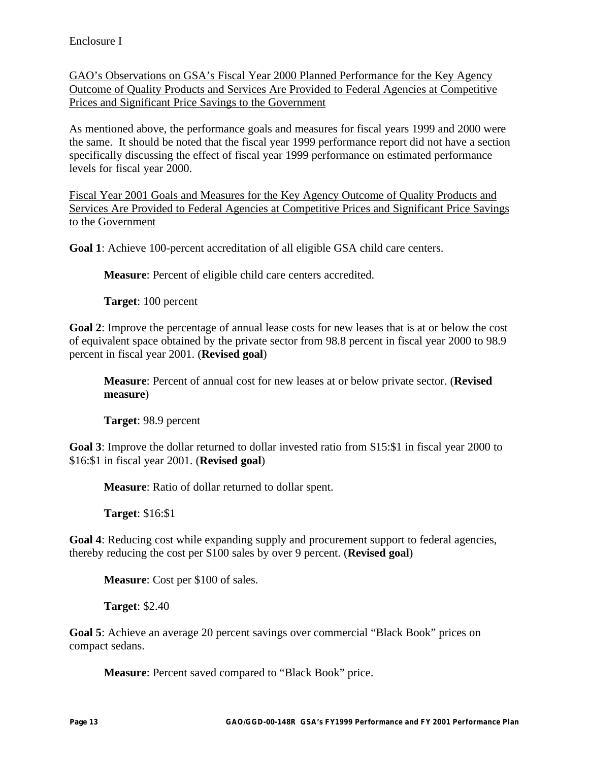GAO's Observations on GSA's Fiscal Year 2000 Planned Performance for the Key Agency Outcome of Quality Products and Services Are Provided to Federal Agencies at Competitive Prices and Significant Price Savings to the Government

As mentioned above, the performance goals and measures for fiscal years 1999 and 2000 were the same. It should be noted that the fiscal year 1999 performance report did not have a section specifically discussing the effect of fiscal year 1999 performance on estimated performance levels for fiscal year 2000.

Fiscal Year 2001 Goals and Measures for the Key Agency Outcome of Quality Products and Services Are Provided to Federal Agencies at Competitive Prices and Significant Price Savings to the Government

**Goal 1**: Achieve 100-percent accreditation of all eligible GSA child care centers.

**Measure**: Percent of eligible child care centers accredited.

**Target**: 100 percent

**Goal 2**: Improve the percentage of annual lease costs for new leases that is at or below the cost of equivalent space obtained by the private sector from 98.8 percent in fiscal year 2000 to 98.9 percent in fiscal year 2001. (**Revised goal**)

**Measure**: Percent of annual cost for new leases at or below private sector. (**Revised measure**)

**Target**: 98.9 percent

**Goal 3**: Improve the dollar returned to dollar invested ratio from \$15:\$1 in fiscal year 2000 to \$16:\$1 in fiscal year 2001. (**Revised goal**)

**Measure**: Ratio of dollar returned to dollar spent.

**Target**: \$16:\$1

**Goal 4**: Reducing cost while expanding supply and procurement support to federal agencies, thereby reducing the cost per \$100 sales by over 9 percent. (**Revised goal**)

**Measure**: Cost per \$100 of sales.

**Target**: \$2.40

**Goal 5**: Achieve an average 20 percent savings over commercial "Black Book" prices on compact sedans.

**Measure**: Percent saved compared to "Black Book" price.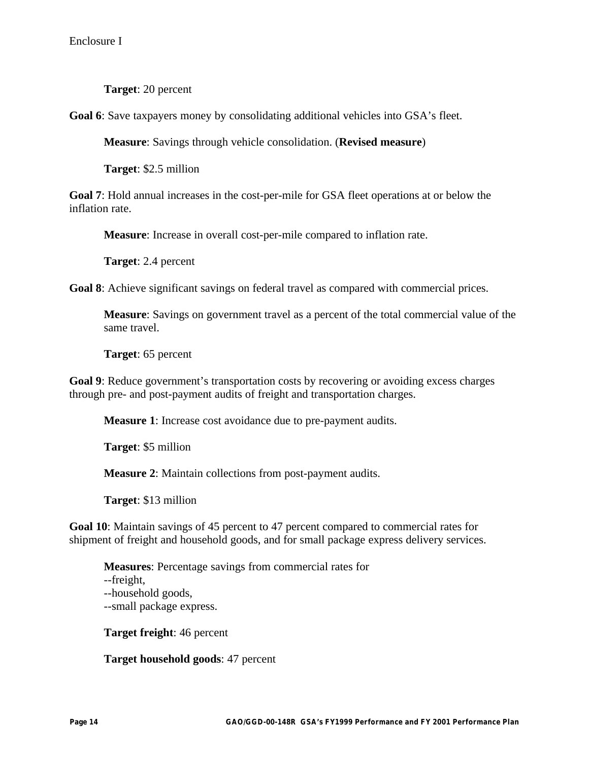**Target**: 20 percent

**Goal 6**: Save taxpayers money by consolidating additional vehicles into GSA's fleet.

**Measure**: Savings through vehicle consolidation. (**Revised measure**)

**Target**: \$2.5 million

**Goal 7**: Hold annual increases in the cost-per-mile for GSA fleet operations at or below the inflation rate.

**Measure**: Increase in overall cost-per-mile compared to inflation rate.

**Target**: 2.4 percent

**Goal 8**: Achieve significant savings on federal travel as compared with commercial prices.

**Measure**: Savings on government travel as a percent of the total commercial value of the same travel.

**Target**: 65 percent

**Goal 9**: Reduce government's transportation costs by recovering or avoiding excess charges through pre- and post-payment audits of freight and transportation charges.

**Measure 1**: Increase cost avoidance due to pre-payment audits.

**Target**: \$5 million

**Measure 2**: Maintain collections from post-payment audits.

**Target**: \$13 million

**Goal 10**: Maintain savings of 45 percent to 47 percent compared to commercial rates for shipment of freight and household goods, and for small package express delivery services.

**Measures**: Percentage savings from commercial rates for --freight, --household goods, --small package express.

**Target freight**: 46 percent

**Target household goods**: 47 percent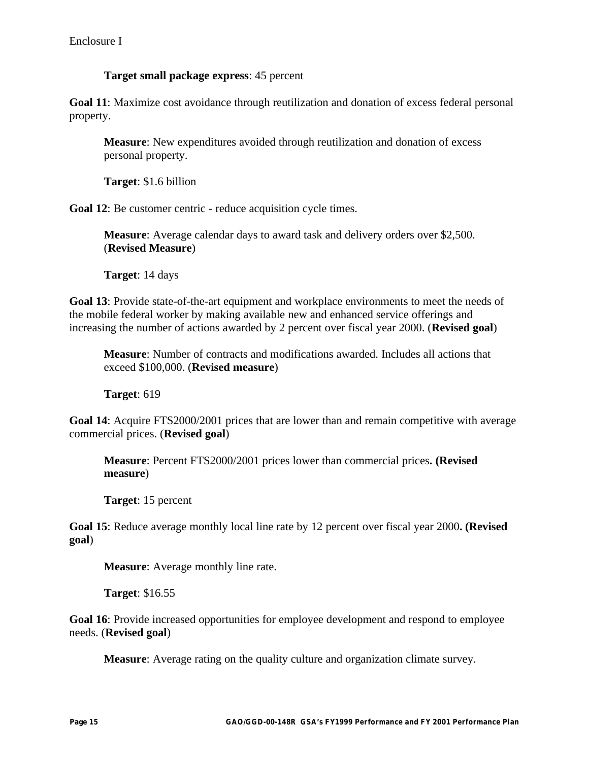### **Target small package express**: 45 percent

**Goal 11**: Maximize cost avoidance through reutilization and donation of excess federal personal property.

**Measure**: New expenditures avoided through reutilization and donation of excess personal property.

**Target**: \$1.6 billion

**Goal 12**: Be customer centric - reduce acquisition cycle times.

**Measure**: Average calendar days to award task and delivery orders over \$2,500. (**Revised Measure**)

**Target**: 14 days

**Goal 13**: Provide state-of-the-art equipment and workplace environments to meet the needs of the mobile federal worker by making available new and enhanced service offerings and increasing the number of actions awarded by 2 percent over fiscal year 2000. (**Revised goal**)

**Measure**: Number of contracts and modifications awarded. Includes all actions that exceed \$100,000. (**Revised measure**)

**Target**: 619

**Goal 14**: Acquire FTS2000/2001 prices that are lower than and remain competitive with average commercial prices. (**Revised goal**)

**Measure**: Percent FTS2000/2001 prices lower than commercial prices**. (Revised measure**)

**Target**: 15 percent

**Goal 15**: Reduce average monthly local line rate by 12 percent over fiscal year 2000**. (Revised goal**)

**Measure**: Average monthly line rate.

**Target**: \$16.55

**Goal 16**: Provide increased opportunities for employee development and respond to employee needs. (**Revised goal**)

**Measure**: Average rating on the quality culture and organization climate survey.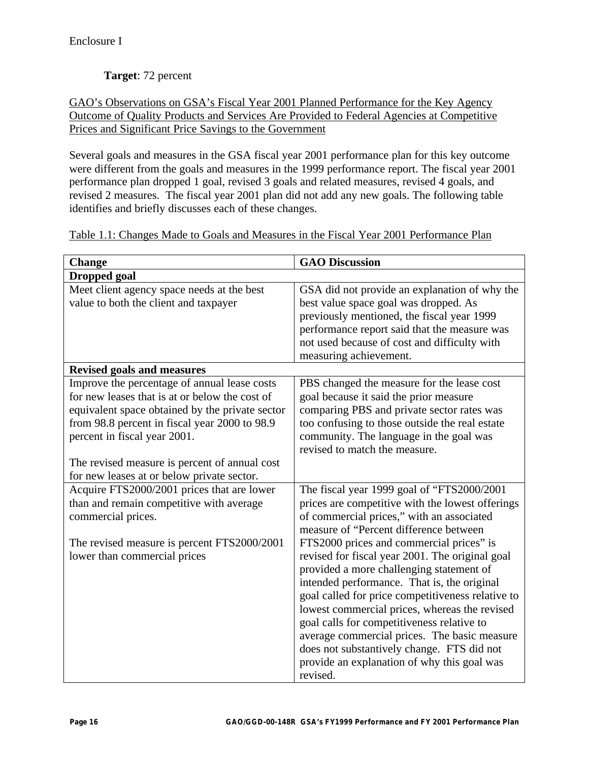# **Target**: 72 percent

GAO's Observations on GSA's Fiscal Year 2001 Planned Performance for the Key Agency Outcome of Quality Products and Services Are Provided to Federal Agencies at Competitive Prices and Significant Price Savings to the Government

Several goals and measures in the GSA fiscal year 2001 performance plan for this key outcome were different from the goals and measures in the 1999 performance report. The fiscal year 2001 performance plan dropped 1 goal, revised 3 goals and related measures, revised 4 goals, and revised 2 measures. The fiscal year 2001 plan did not add any new goals. The following table identifies and briefly discusses each of these changes.

| <b>Change</b>                                                                                                                                                                                                                                                                       | <b>GAO Discussion</b>                                                                                                                                                                                                                                                                                                                                                                                                                                                                                                                                                               |
|-------------------------------------------------------------------------------------------------------------------------------------------------------------------------------------------------------------------------------------------------------------------------------------|-------------------------------------------------------------------------------------------------------------------------------------------------------------------------------------------------------------------------------------------------------------------------------------------------------------------------------------------------------------------------------------------------------------------------------------------------------------------------------------------------------------------------------------------------------------------------------------|
| <b>Dropped</b> goal                                                                                                                                                                                                                                                                 |                                                                                                                                                                                                                                                                                                                                                                                                                                                                                                                                                                                     |
| Meet client agency space needs at the best<br>value to both the client and taxpayer                                                                                                                                                                                                 | GSA did not provide an explanation of why the<br>best value space goal was dropped. As<br>previously mentioned, the fiscal year 1999<br>performance report said that the measure was<br>not used because of cost and difficulty with<br>measuring achievement.                                                                                                                                                                                                                                                                                                                      |
| <b>Revised goals and measures</b>                                                                                                                                                                                                                                                   |                                                                                                                                                                                                                                                                                                                                                                                                                                                                                                                                                                                     |
| Improve the percentage of annual lease costs<br>for new leases that is at or below the cost of<br>equivalent space obtained by the private sector<br>from 98.8 percent in fiscal year 2000 to 98.9<br>percent in fiscal year 2001.<br>The revised measure is percent of annual cost | PBS changed the measure for the lease cost<br>goal because it said the prior measure<br>comparing PBS and private sector rates was<br>too confusing to those outside the real estate<br>community. The language in the goal was<br>revised to match the measure.                                                                                                                                                                                                                                                                                                                    |
| for new leases at or below private sector.                                                                                                                                                                                                                                          |                                                                                                                                                                                                                                                                                                                                                                                                                                                                                                                                                                                     |
| Acquire FTS2000/2001 prices that are lower<br>than and remain competitive with average<br>commercial prices.<br>The revised measure is percent FTS2000/2001<br>lower than commercial prices                                                                                         | The fiscal year 1999 goal of "FTS2000/2001<br>prices are competitive with the lowest offerings<br>of commercial prices," with an associated<br>measure of "Percent difference between<br>FTS2000 prices and commercial prices" is<br>revised for fiscal year 2001. The original goal<br>provided a more challenging statement of<br>intended performance. That is, the original<br>goal called for price competitiveness relative to<br>lowest commercial prices, whereas the revised<br>goal calls for competitiveness relative to<br>average commercial prices. The basic measure |
|                                                                                                                                                                                                                                                                                     | does not substantively change. FTS did not<br>provide an explanation of why this goal was<br>revised.                                                                                                                                                                                                                                                                                                                                                                                                                                                                               |

Table 1.1: Changes Made to Goals and Measures in the Fiscal Year 2001 Performance Plan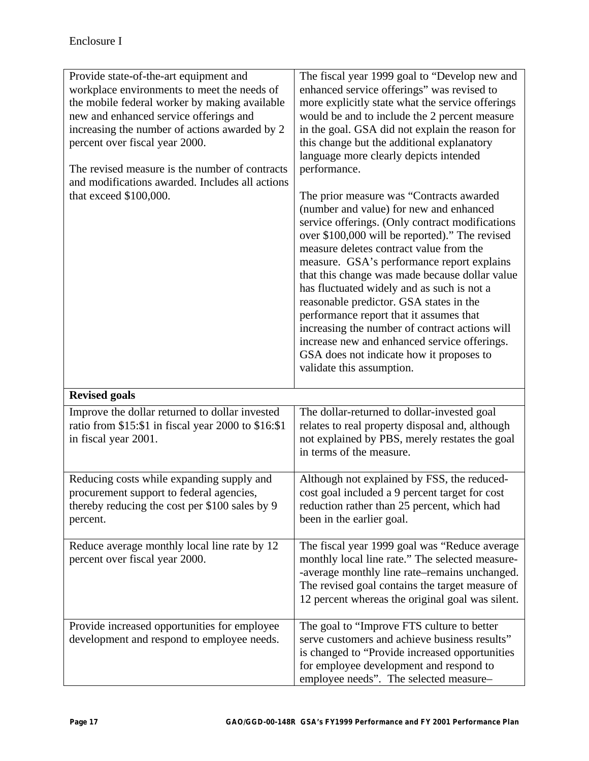| Provide state-of-the-art equipment and<br>workplace environments to meet the needs of<br>the mobile federal worker by making available<br>new and enhanced service offerings and<br>increasing the number of actions awarded by 2<br>percent over fiscal year 2000.<br>The revised measure is the number of contracts<br>and modifications awarded. Includes all actions | The fiscal year 1999 goal to "Develop new and<br>enhanced service offerings" was revised to<br>more explicitly state what the service offerings<br>would be and to include the 2 percent measure<br>in the goal. GSA did not explain the reason for<br>this change but the additional explanatory<br>language more clearly depicts intended<br>performance.                                                                                                                                                                                                                                                                                        |
|--------------------------------------------------------------------------------------------------------------------------------------------------------------------------------------------------------------------------------------------------------------------------------------------------------------------------------------------------------------------------|----------------------------------------------------------------------------------------------------------------------------------------------------------------------------------------------------------------------------------------------------------------------------------------------------------------------------------------------------------------------------------------------------------------------------------------------------------------------------------------------------------------------------------------------------------------------------------------------------------------------------------------------------|
| that exceed \$100,000.                                                                                                                                                                                                                                                                                                                                                   | The prior measure was "Contracts awarded<br>(number and value) for new and enhanced<br>service offerings. (Only contract modifications<br>over \$100,000 will be reported)." The revised<br>measure deletes contract value from the<br>measure. GSA's performance report explains<br>that this change was made because dollar value<br>has fluctuated widely and as such is not a<br>reasonable predictor. GSA states in the<br>performance report that it assumes that<br>increasing the number of contract actions will<br>increase new and enhanced service offerings.<br>GSA does not indicate how it proposes to<br>validate this assumption. |
| <b>Revised goals</b>                                                                                                                                                                                                                                                                                                                                                     |                                                                                                                                                                                                                                                                                                                                                                                                                                                                                                                                                                                                                                                    |
| Improve the dollar returned to dollar invested<br>ratio from \$15:\$1 in fiscal year 2000 to \$16:\$1<br>in fiscal year 2001.                                                                                                                                                                                                                                            | The dollar-returned to dollar-invested goal<br>relates to real property disposal and, although<br>not explained by PBS, merely restates the goal<br>in terms of the measure.                                                                                                                                                                                                                                                                                                                                                                                                                                                                       |
| Reducing costs while expanding supply and<br>procurement support to federal agencies,<br>thereby reducing the cost per \$100 sales by 9<br>percent.                                                                                                                                                                                                                      | Although not explained by FSS, the reduced-<br>cost goal included a 9 percent target for cost<br>reduction rather than 25 percent, which had<br>been in the earlier goal.                                                                                                                                                                                                                                                                                                                                                                                                                                                                          |
| Reduce average monthly local line rate by 12<br>percent over fiscal year 2000.                                                                                                                                                                                                                                                                                           | The fiscal year 1999 goal was "Reduce average<br>monthly local line rate." The selected measure-<br>-average monthly line rate–remains unchanged.<br>The revised goal contains the target measure of<br>12 percent whereas the original goal was silent.                                                                                                                                                                                                                                                                                                                                                                                           |
| Provide increased opportunities for employee<br>development and respond to employee needs.                                                                                                                                                                                                                                                                               | The goal to "Improve FTS culture to better<br>serve customers and achieve business results"<br>is changed to "Provide increased opportunities<br>for employee development and respond to<br>employee needs". The selected measure-                                                                                                                                                                                                                                                                                                                                                                                                                 |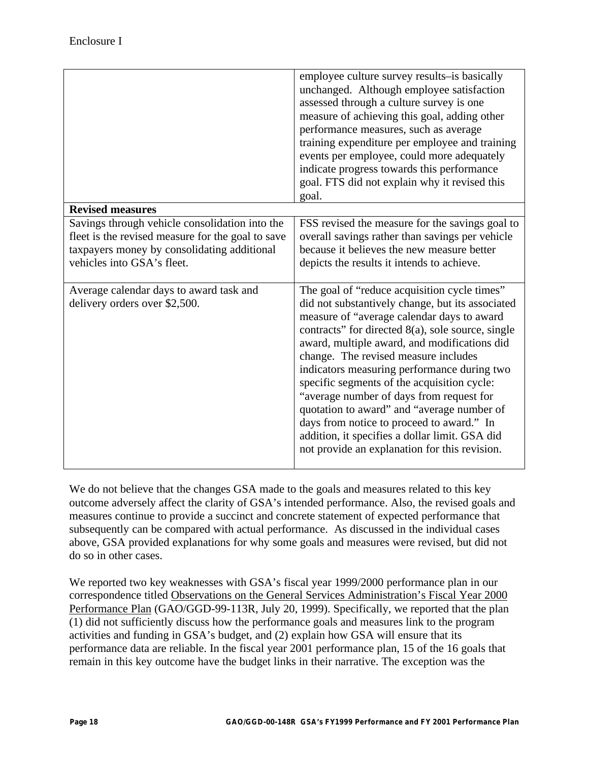| <b>Revised measures</b>                                                                          | employee culture survey results-is basically<br>unchanged. Although employee satisfaction<br>assessed through a culture survey is one<br>measure of achieving this goal, adding other<br>performance measures, such as average<br>training expenditure per employee and training<br>events per employee, could more adequately<br>indicate progress towards this performance<br>goal. FTS did not explain why it revised this<br>goal.                                                                                                                                                                                              |
|--------------------------------------------------------------------------------------------------|-------------------------------------------------------------------------------------------------------------------------------------------------------------------------------------------------------------------------------------------------------------------------------------------------------------------------------------------------------------------------------------------------------------------------------------------------------------------------------------------------------------------------------------------------------------------------------------------------------------------------------------|
| Savings through vehicle consolidation into the                                                   | FSS revised the measure for the savings goal to                                                                                                                                                                                                                                                                                                                                                                                                                                                                                                                                                                                     |
| fleet is the revised measure for the goal to save<br>taxpayers money by consolidating additional | overall savings rather than savings per vehicle<br>because it believes the new measure better                                                                                                                                                                                                                                                                                                                                                                                                                                                                                                                                       |
| vehicles into GSA's fleet.                                                                       | depicts the results it intends to achieve.                                                                                                                                                                                                                                                                                                                                                                                                                                                                                                                                                                                          |
|                                                                                                  |                                                                                                                                                                                                                                                                                                                                                                                                                                                                                                                                                                                                                                     |
| Average calendar days to award task and<br>delivery orders over \$2,500.                         | The goal of "reduce acquisition cycle times"<br>did not substantively change, but its associated<br>measure of "average calendar days to award<br>contracts" for directed 8(a), sole source, single<br>award, multiple award, and modifications did<br>change. The revised measure includes<br>indicators measuring performance during two<br>specific segments of the acquisition cycle:<br>"average number of days from request for<br>quotation to award" and "average number of<br>days from notice to proceed to award." In<br>addition, it specifies a dollar limit. GSA did<br>not provide an explanation for this revision. |

We do not believe that the changes GSA made to the goals and measures related to this key outcome adversely affect the clarity of GSA's intended performance. Also, the revised goals and measures continue to provide a succinct and concrete statement of expected performance that subsequently can be compared with actual performance. As discussed in the individual cases above, GSA provided explanations for why some goals and measures were revised, but did not do so in other cases.

We reported two key weaknesses with GSA's fiscal year 1999/2000 performance plan in our correspondence titled Observations on the General Services Administration's Fiscal Year 2000 Performance Plan (GAO/GGD-99-113R, July 20, 1999). Specifically, we reported that the plan (1) did not sufficiently discuss how the performance goals and measures link to the program activities and funding in GSA's budget, and (2) explain how GSA will ensure that its performance data are reliable. In the fiscal year 2001 performance plan, 15 of the 16 goals that remain in this key outcome have the budget links in their narrative. The exception was the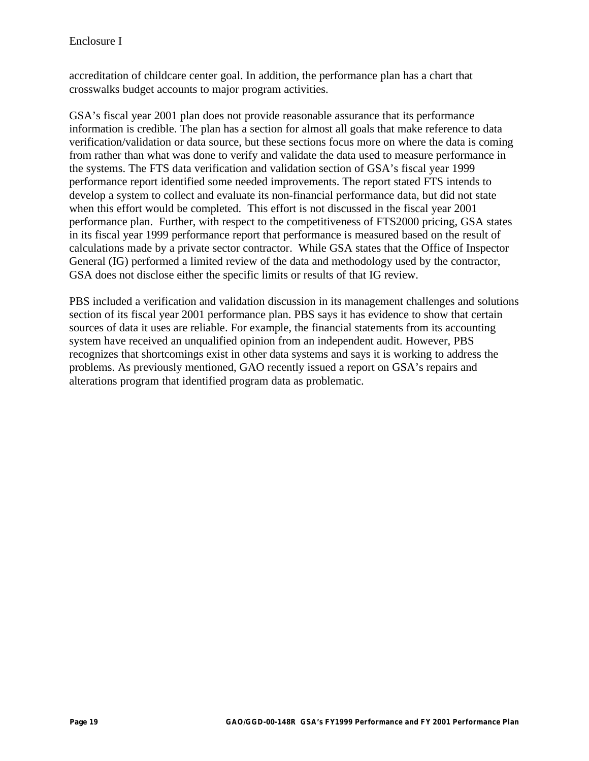accreditation of childcare center goal. In addition, the performance plan has a chart that crosswalks budget accounts to major program activities.

GSA's fiscal year 2001 plan does not provide reasonable assurance that its performance information is credible. The plan has a section for almost all goals that make reference to data verification/validation or data source, but these sections focus more on where the data is coming from rather than what was done to verify and validate the data used to measure performance in the systems. The FTS data verification and validation section of GSA's fiscal year 1999 performance report identified some needed improvements. The report stated FTS intends to develop a system to collect and evaluate its non-financial performance data, but did not state when this effort would be completed. This effort is not discussed in the fiscal year 2001 performance plan. Further, with respect to the competitiveness of FTS2000 pricing, GSA states in its fiscal year 1999 performance report that performance is measured based on the result of calculations made by a private sector contractor. While GSA states that the Office of Inspector General (IG) performed a limited review of the data and methodology used by the contractor, GSA does not disclose either the specific limits or results of that IG review.

PBS included a verification and validation discussion in its management challenges and solutions section of its fiscal year 2001 performance plan. PBS says it has evidence to show that certain sources of data it uses are reliable. For example, the financial statements from its accounting system have received an unqualified opinion from an independent audit. However, PBS recognizes that shortcomings exist in other data systems and says it is working to address the problems. As previously mentioned, GAO recently issued a report on GSA's repairs and alterations program that identified program data as problematic.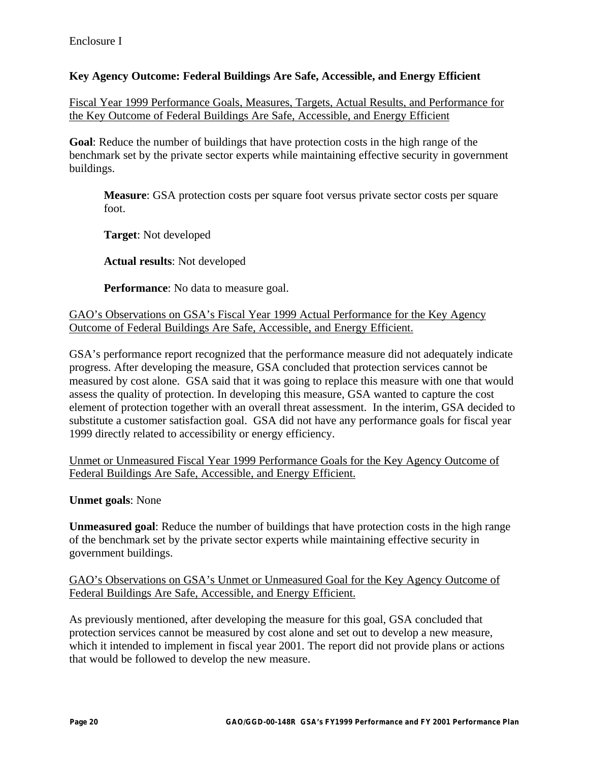### **Key Agency Outcome: Federal Buildings Are Safe, Accessible, and Energy Efficient**

Fiscal Year 1999 Performance Goals, Measures, Targets, Actual Results, and Performance for the Key Outcome of Federal Buildings Are Safe, Accessible, and Energy Efficient

**Goal**: Reduce the number of buildings that have protection costs in the high range of the benchmark set by the private sector experts while maintaining effective security in government buildings.

**Measure**: GSA protection costs per square foot versus private sector costs per square foot.

**Target**: Not developed

**Actual results**: Not developed

**Performance**: No data to measure goal.

#### GAO's Observations on GSA's Fiscal Year 1999 Actual Performance for the Key Agency Outcome of Federal Buildings Are Safe, Accessible, and Energy Efficient.

GSA's performance report recognized that the performance measure did not adequately indicate progress. After developing the measure, GSA concluded that protection services cannot be measured by cost alone. GSA said that it was going to replace this measure with one that would assess the quality of protection. In developing this measure, GSA wanted to capture the cost element of protection together with an overall threat assessment. In the interim, GSA decided to substitute a customer satisfaction goal. GSA did not have any performance goals for fiscal year 1999 directly related to accessibility or energy efficiency.

Unmet or Unmeasured Fiscal Year 1999 Performance Goals for the Key Agency Outcome of Federal Buildings Are Safe, Accessible, and Energy Efficient.

**Unmet goals**: None

**Unmeasured goal**: Reduce the number of buildings that have protection costs in the high range of the benchmark set by the private sector experts while maintaining effective security in government buildings.

#### GAO's Observations on GSA's Unmet or Unmeasured Goal for the Key Agency Outcome of Federal Buildings Are Safe, Accessible, and Energy Efficient.

As previously mentioned, after developing the measure for this goal, GSA concluded that protection services cannot be measured by cost alone and set out to develop a new measure, which it intended to implement in fiscal year 2001. The report did not provide plans or actions that would be followed to develop the new measure.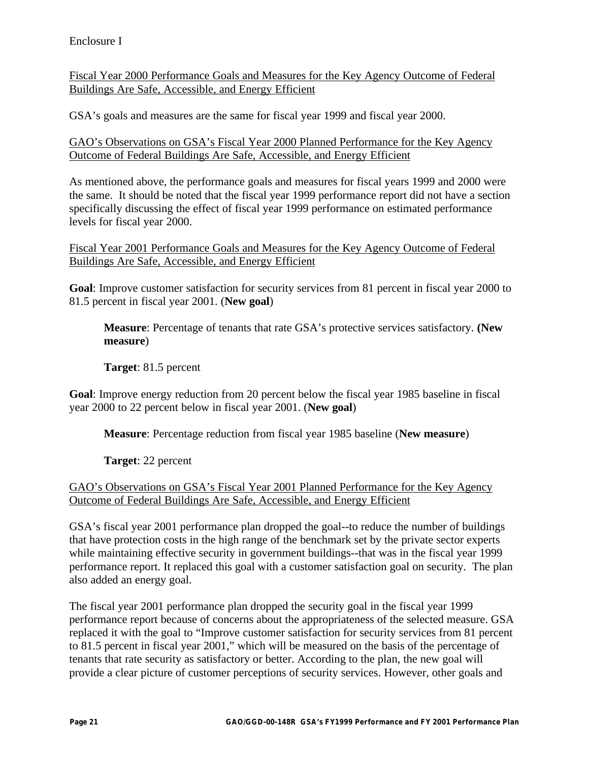Fiscal Year 2000 Performance Goals and Measures for the Key Agency Outcome of Federal Buildings Are Safe, Accessible, and Energy Efficient

GSA's goals and measures are the same for fiscal year 1999 and fiscal year 2000.

GAO's Observations on GSA's Fiscal Year 2000 Planned Performance for the Key Agency Outcome of Federal Buildings Are Safe, Accessible, and Energy Efficient

As mentioned above, the performance goals and measures for fiscal years 1999 and 2000 were the same. It should be noted that the fiscal year 1999 performance report did not have a section specifically discussing the effect of fiscal year 1999 performance on estimated performance levels for fiscal year 2000.

Fiscal Year 2001 Performance Goals and Measures for the Key Agency Outcome of Federal Buildings Are Safe, Accessible, and Energy Efficient

**Goal**: Improve customer satisfaction for security services from 81 percent in fiscal year 2000 to 81.5 percent in fiscal year 2001. (**New goal**)

**Measure**: Percentage of tenants that rate GSA's protective services satisfactory. **(New measure**)

**Target**: 81.5 percent

**Goal**: Improve energy reduction from 20 percent below the fiscal year 1985 baseline in fiscal year 2000 to 22 percent below in fiscal year 2001. (**New goal**)

**Measure**: Percentage reduction from fiscal year 1985 baseline (**New measure**)

**Target**: 22 percent

GAO's Observations on GSA's Fiscal Year 2001 Planned Performance for the Key Agency Outcome of Federal Buildings Are Safe, Accessible, and Energy Efficient

GSA's fiscal year 2001 performance plan dropped the goal--to reduce the number of buildings that have protection costs in the high range of the benchmark set by the private sector experts while maintaining effective security in government buildings--that was in the fiscal year 1999 performance report. It replaced this goal with a customer satisfaction goal on security. The plan also added an energy goal.

The fiscal year 2001 performance plan dropped the security goal in the fiscal year 1999 performance report because of concerns about the appropriateness of the selected measure. GSA replaced it with the goal to "Improve customer satisfaction for security services from 81 percent to 81.5 percent in fiscal year 2001," which will be measured on the basis of the percentage of tenants that rate security as satisfactory or better. According to the plan, the new goal will provide a clear picture of customer perceptions of security services. However, other goals and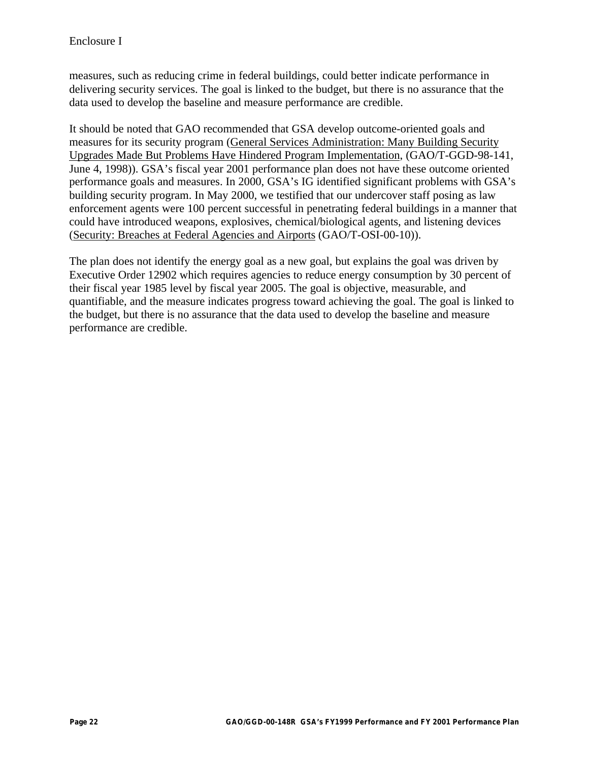measures, such as reducing crime in federal buildings, could better indicate performance in delivering security services. The goal is linked to the budget, but there is no assurance that the data used to develop the baseline and measure performance are credible.

It should be noted that GAO recommended that GSA develop outcome-oriented goals and measures for its security program (General Services Administration: Many Building Security Upgrades Made But Problems Have Hindered Program Implementation, (GAO/T-GGD-98-141, June 4, 1998)). GSA's fiscal year 2001 performance plan does not have these outcome oriented performance goals and measures. In 2000, GSA's IG identified significant problems with GSA's building security program. In May 2000, we testified that our undercover staff posing as law enforcement agents were 100 percent successful in penetrating federal buildings in a manner that could have introduced weapons, explosives, chemical/biological agents, and listening devices (Security: Breaches at Federal Agencies and Airports (GAO/T-OSI-00-10)).

The plan does not identify the energy goal as a new goal, but explains the goal was driven by Executive Order 12902 which requires agencies to reduce energy consumption by 30 percent of their fiscal year 1985 level by fiscal year 2005. The goal is objective, measurable, and quantifiable, and the measure indicates progress toward achieving the goal. The goal is linked to the budget, but there is no assurance that the data used to develop the baseline and measure performance are credible.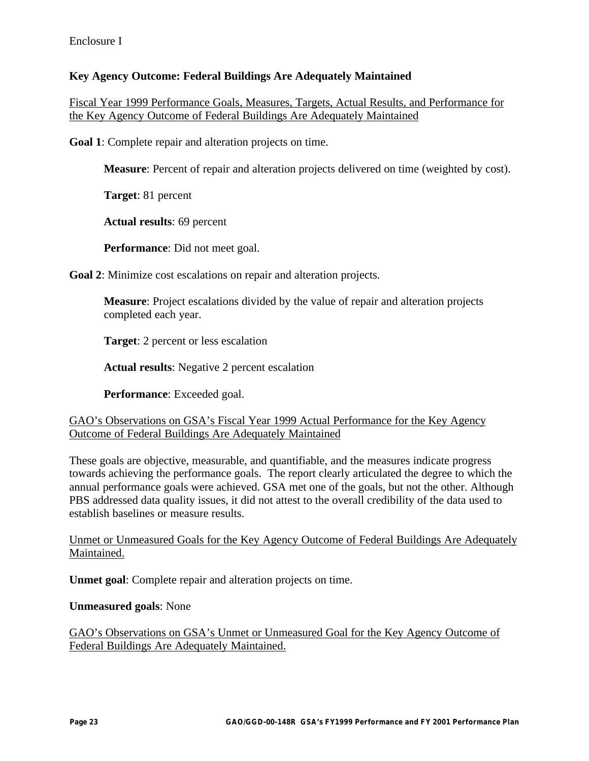### **Key Agency Outcome: Federal Buildings Are Adequately Maintained**

Fiscal Year 1999 Performance Goals, Measures, Targets, Actual Results, and Performance for the Key Agency Outcome of Federal Buildings Are Adequately Maintained

**Goal 1**: Complete repair and alteration projects on time.

**Measure**: Percent of repair and alteration projects delivered on time (weighted by cost).

**Target**: 81 percent

**Actual results**: 69 percent

**Performance**: Did not meet goal.

**Goal 2**: Minimize cost escalations on repair and alteration projects.

**Measure**: Project escalations divided by the value of repair and alteration projects completed each year.

**Target**: 2 percent or less escalation

**Actual results**: Negative 2 percent escalation

**Performance**: Exceeded goal.

GAO's Observations on GSA's Fiscal Year 1999 Actual Performance for the Key Agency Outcome of Federal Buildings Are Adequately Maintained

These goals are objective, measurable, and quantifiable, and the measures indicate progress towards achieving the performance goals. The report clearly articulated the degree to which the annual performance goals were achieved. GSA met one of the goals, but not the other. Although PBS addressed data quality issues, it did not attest to the overall credibility of the data used to establish baselines or measure results.

Unmet or Unmeasured Goals for the Key Agency Outcome of Federal Buildings Are Adequately Maintained.

**Unmet goal**: Complete repair and alteration projects on time.

**Unmeasured goals**: None

GAO's Observations on GSA's Unmet or Unmeasured Goal for the Key Agency Outcome of Federal Buildings Are Adequately Maintained.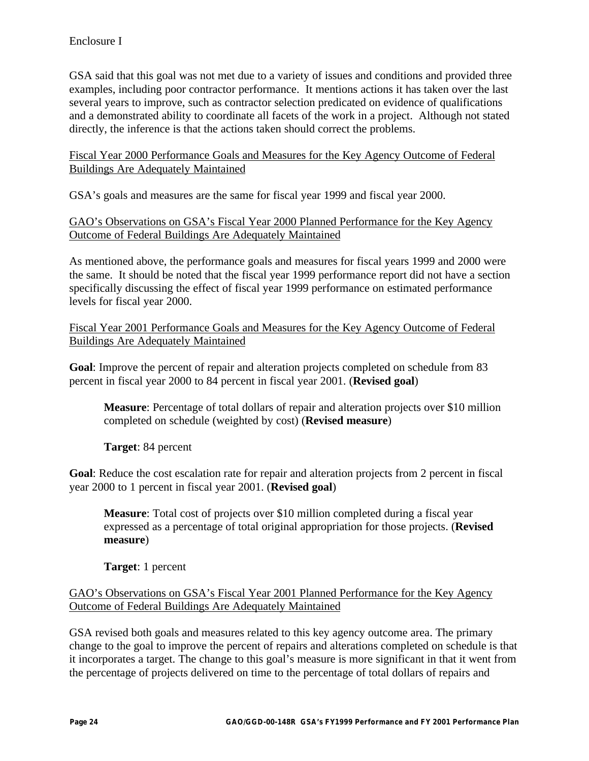GSA said that this goal was not met due to a variety of issues and conditions and provided three examples, including poor contractor performance. It mentions actions it has taken over the last several years to improve, such as contractor selection predicated on evidence of qualifications and a demonstrated ability to coordinate all facets of the work in a project. Although not stated directly, the inference is that the actions taken should correct the problems.

Fiscal Year 2000 Performance Goals and Measures for the Key Agency Outcome of Federal Buildings Are Adequately Maintained

GSA's goals and measures are the same for fiscal year 1999 and fiscal year 2000.

### GAO's Observations on GSA's Fiscal Year 2000 Planned Performance for the Key Agency Outcome of Federal Buildings Are Adequately Maintained

As mentioned above, the performance goals and measures for fiscal years 1999 and 2000 were the same. It should be noted that the fiscal year 1999 performance report did not have a section specifically discussing the effect of fiscal year 1999 performance on estimated performance levels for fiscal year 2000.

Fiscal Year 2001 Performance Goals and Measures for the Key Agency Outcome of Federal Buildings Are Adequately Maintained

**Goal**: Improve the percent of repair and alteration projects completed on schedule from 83 percent in fiscal year 2000 to 84 percent in fiscal year 2001. (**Revised goal**)

**Measure**: Percentage of total dollars of repair and alteration projects over \$10 million completed on schedule (weighted by cost) (**Revised measure**)

**Target**: 84 percent

**Goal**: Reduce the cost escalation rate for repair and alteration projects from 2 percent in fiscal year 2000 to 1 percent in fiscal year 2001. (**Revised goal**)

**Measure**: Total cost of projects over \$10 million completed during a fiscal year expressed as a percentage of total original appropriation for those projects. (**Revised measure**)

**Target**: 1 percent

#### GAO's Observations on GSA's Fiscal Year 2001 Planned Performance for the Key Agency Outcome of Federal Buildings Are Adequately Maintained

GSA revised both goals and measures related to this key agency outcome area. The primary change to the goal to improve the percent of repairs and alterations completed on schedule is that it incorporates a target. The change to this goal's measure is more significant in that it went from the percentage of projects delivered on time to the percentage of total dollars of repairs and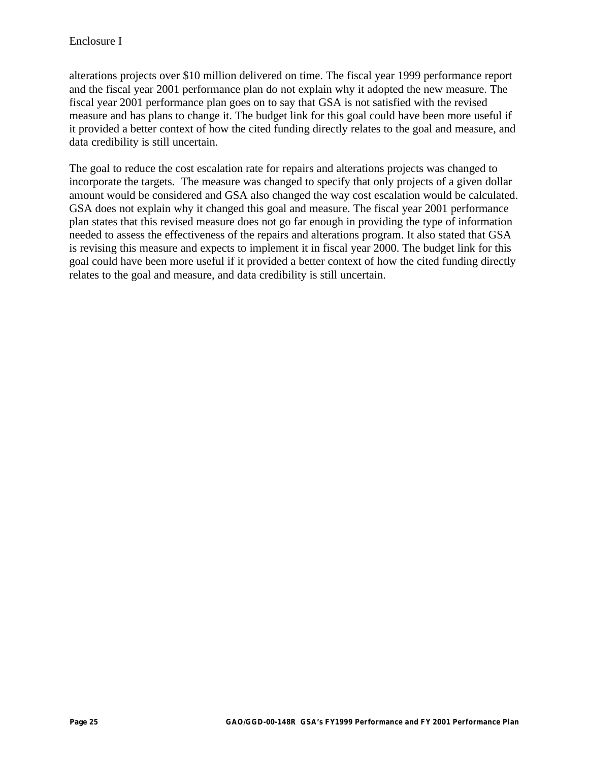alterations projects over \$10 million delivered on time. The fiscal year 1999 performance report and the fiscal year 2001 performance plan do not explain why it adopted the new measure. The fiscal year 2001 performance plan goes on to say that GSA is not satisfied with the revised measure and has plans to change it. The budget link for this goal could have been more useful if it provided a better context of how the cited funding directly relates to the goal and measure, and data credibility is still uncertain.

The goal to reduce the cost escalation rate for repairs and alterations projects was changed to incorporate the targets. The measure was changed to specify that only projects of a given dollar amount would be considered and GSA also changed the way cost escalation would be calculated. GSA does not explain why it changed this goal and measure. The fiscal year 2001 performance plan states that this revised measure does not go far enough in providing the type of information needed to assess the effectiveness of the repairs and alterations program. It also stated that GSA is revising this measure and expects to implement it in fiscal year 2000. The budget link for this goal could have been more useful if it provided a better context of how the cited funding directly relates to the goal and measure, and data credibility is still uncertain.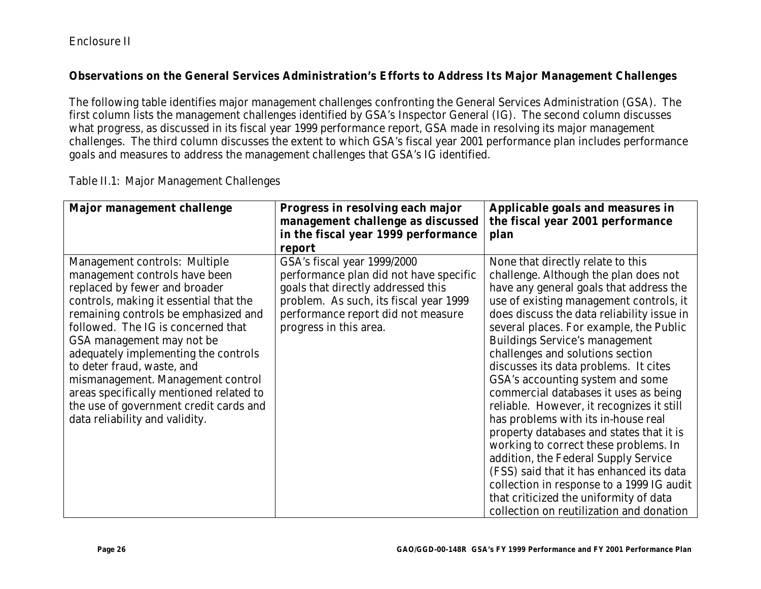## Enclosure II

#### **Observations on the General Services Administration's Efforts to Address Its Major Management Challenges**

The following table identifies major management challenges confronting the General Services Administration (GSA). The first column lists the management challenges identified by GSA's Inspector General (IG). The second column discusses what progress, as discussed in its fiscal year 1999 performance report, GSA made in resolving its major management challenges. The third column discusses the extent to which GSA's fiscal year 2001 performance plan includes performance goals and measures to address the management challenges that GSA's IG identified.

| <b>Major management challenge</b>       | Progress in resolving each major       | Applicable goals and measures in           |
|-----------------------------------------|----------------------------------------|--------------------------------------------|
|                                         | management challenge as discussed      | the fiscal year 2001 performance           |
|                                         | in the fiscal year 1999 performance    | plan                                       |
|                                         | report                                 |                                            |
| <b>Management controls: Multiple</b>    | GSA's fiscal year 1999/2000            | None that directly relate to this          |
| management controls have been           | performance plan did not have specific | challenge. Although the plan does not      |
| replaced by fewer and broader           | goals that directly addressed this     | have any general goals that address the    |
| controls, making it essential that the  | problem. As such, its fiscal year 1999 | use of existing management controls, it    |
| remaining controls be emphasized and    | performance report did not measure     | does discuss the data reliability issue in |
| followed. The IG is concerned that      | progress in this area.                 | several places. For example, the Public    |
| GSA management may not be               |                                        | <b>Buildings Service's management</b>      |
| adequately implementing the controls    |                                        | challenges and solutions section           |
| to deter fraud, waste, and              |                                        | discusses its data problems. It cites      |
| mismanagement. Management control       |                                        | GSA's accounting system and some           |
| areas specifically mentioned related to |                                        | commercial databases it uses as being      |
| the use of government credit cards and  |                                        | reliable. However, it recognizes it still  |
| data reliability and validity.          |                                        | has problems with its in-house real        |
|                                         |                                        | property databases and states that it is   |
|                                         |                                        | working to correct these problems. In      |
|                                         |                                        | addition, the Federal Supply Service       |
|                                         |                                        | (FSS) said that it has enhanced its data   |
|                                         |                                        | collection in response to a 1999 IG audit  |
|                                         |                                        | that criticized the uniformity of data     |
|                                         |                                        | collection on reutilization and donation   |

Table II.1: Major Management Challenges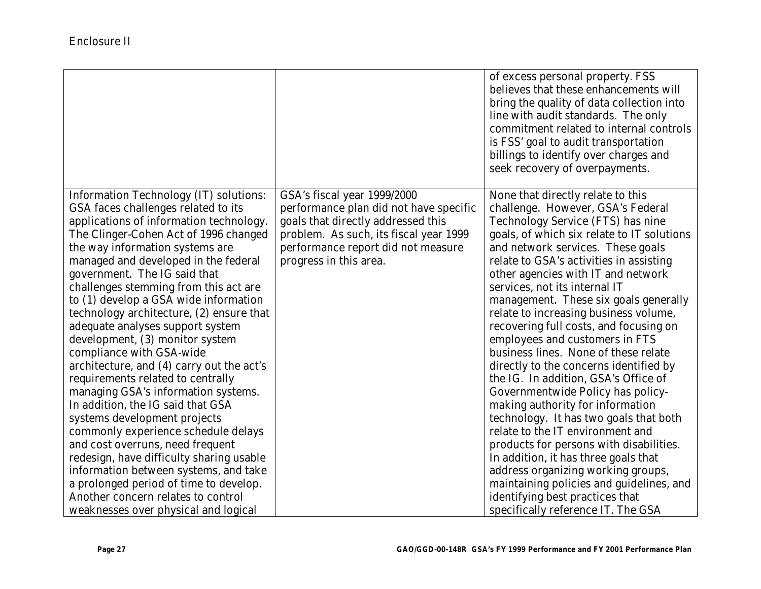|                                                                                  |                                                                              | of excess personal property. FSS<br>believes that these enhancements will<br>bring the quality of data collection into<br>line with audit standards. The only<br>commitment related to internal controls<br>is FSS' goal to audit transportation<br>billings to identify over charges and<br>seek recovery of overpayments. |
|----------------------------------------------------------------------------------|------------------------------------------------------------------------------|-----------------------------------------------------------------------------------------------------------------------------------------------------------------------------------------------------------------------------------------------------------------------------------------------------------------------------|
| <b>Information Technology (IT) solutions:</b>                                    | GSA's fiscal year 1999/2000                                                  | None that directly relate to this                                                                                                                                                                                                                                                                                           |
| GSA faces challenges related to its                                              | performance plan did not have specific                                       | challenge. However, GSA's Federal                                                                                                                                                                                                                                                                                           |
| applications of information technology.<br>The Clinger-Cohen Act of 1996 changed | goals that directly addressed this<br>problem. As such, its fiscal year 1999 | <b>Technology Service (FTS) has nine</b>                                                                                                                                                                                                                                                                                    |
| the way information systems are                                                  | performance report did not measure                                           | goals, of which six relate to IT solutions<br>and network services. These goals                                                                                                                                                                                                                                             |
| managed and developed in the federal                                             | progress in this area.                                                       | relate to GSA's activities in assisting                                                                                                                                                                                                                                                                                     |
| government. The IG said that                                                     |                                                                              | other agencies with IT and network                                                                                                                                                                                                                                                                                          |
| challenges stemming from this act are                                            |                                                                              | services, not its internal IT                                                                                                                                                                                                                                                                                               |
| to (1) develop a GSA wide information                                            |                                                                              | management. These six goals generally                                                                                                                                                                                                                                                                                       |
| technology architecture, (2) ensure that                                         |                                                                              | relate to increasing business volume,                                                                                                                                                                                                                                                                                       |
| adequate analyses support system                                                 |                                                                              | recovering full costs, and focusing on                                                                                                                                                                                                                                                                                      |
| development, (3) monitor system                                                  |                                                                              | employees and customers in FTS                                                                                                                                                                                                                                                                                              |
| compliance with GSA-wide                                                         |                                                                              | business lines. None of these relate                                                                                                                                                                                                                                                                                        |
| architecture, and (4) carry out the act's                                        |                                                                              | directly to the concerns identified by                                                                                                                                                                                                                                                                                      |
| requirements related to centrally                                                |                                                                              | the IG. In addition, GSA's Office of                                                                                                                                                                                                                                                                                        |
| managing GSA's information systems.                                              |                                                                              | Governmentwide Policy has policy-                                                                                                                                                                                                                                                                                           |
| In addition, the IG said that GSA                                                |                                                                              | making authority for information                                                                                                                                                                                                                                                                                            |
| systems development projects                                                     |                                                                              | technology. It has two goals that both                                                                                                                                                                                                                                                                                      |
| commonly experience schedule delays                                              |                                                                              | relate to the IT environment and                                                                                                                                                                                                                                                                                            |
| and cost overruns, need frequent                                                 |                                                                              | products for persons with disabilities.                                                                                                                                                                                                                                                                                     |
| redesign, have difficulty sharing usable                                         |                                                                              | In addition, it has three goals that                                                                                                                                                                                                                                                                                        |
| information between systems, and take                                            |                                                                              | address organizing working groups,                                                                                                                                                                                                                                                                                          |
| a prolonged period of time to develop.                                           |                                                                              | maintaining policies and guidelines, and                                                                                                                                                                                                                                                                                    |
| Another concern relates to control                                               |                                                                              | identifying best practices that                                                                                                                                                                                                                                                                                             |
| weaknesses over physical and logical                                             |                                                                              | specifically reference IT. The GSA                                                                                                                                                                                                                                                                                          |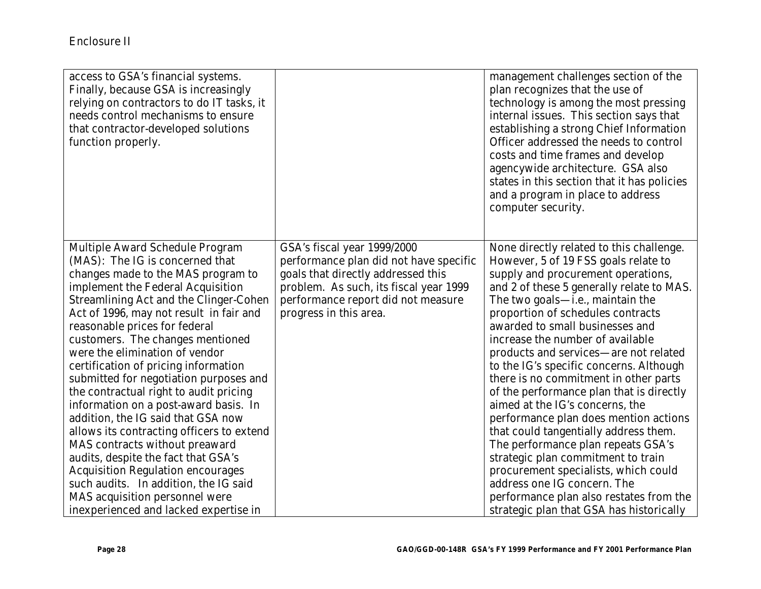| access to GSA's financial systems.<br>Finally, because GSA is increasingly<br>relying on contractors to do IT tasks, it<br>needs control mechanisms to ensure<br>that contractor-developed solutions<br>function properly.                                                                                                                                                                                                                                                                                                                                                                                                                                                                                                                                                                                                                                             |                                                                                                                                                                                                                       | management challenges section of the<br>plan recognizes that the use of<br>technology is among the most pressing<br>internal issues. This section says that<br>establishing a strong Chief Information<br>Officer addressed the needs to control<br>costs and time frames and develop<br>agencywide architecture. GSA also<br>states in this section that it has policies<br>and a program in place to address<br>computer security.                                                                                                                                                                                                                                                                                                                                                                                                                        |
|------------------------------------------------------------------------------------------------------------------------------------------------------------------------------------------------------------------------------------------------------------------------------------------------------------------------------------------------------------------------------------------------------------------------------------------------------------------------------------------------------------------------------------------------------------------------------------------------------------------------------------------------------------------------------------------------------------------------------------------------------------------------------------------------------------------------------------------------------------------------|-----------------------------------------------------------------------------------------------------------------------------------------------------------------------------------------------------------------------|-------------------------------------------------------------------------------------------------------------------------------------------------------------------------------------------------------------------------------------------------------------------------------------------------------------------------------------------------------------------------------------------------------------------------------------------------------------------------------------------------------------------------------------------------------------------------------------------------------------------------------------------------------------------------------------------------------------------------------------------------------------------------------------------------------------------------------------------------------------|
| <b>Multiple Award Schedule Program</b><br>(MAS): The IG is concerned that<br>changes made to the MAS program to<br>implement the Federal Acquisition<br><b>Streamlining Act and the Clinger-Cohen</b><br>Act of 1996, may not result in fair and<br>reasonable prices for federal<br>customers. The changes mentioned<br>were the elimination of vendor<br>certification of pricing information<br>submitted for negotiation purposes and<br>the contractual right to audit pricing<br>information on a post-award basis. In<br>addition, the IG said that GSA now<br>allows its contracting officers to extend<br><b>MAS</b> contracts without preaward<br>audits, despite the fact that GSA's<br><b>Acquisition Regulation encourages</b><br>such audits. In addition, the IG said<br><b>MAS</b> acquisition personnel were<br>inexperienced and lacked expertise in | GSA's fiscal year 1999/2000<br>performance plan did not have specific<br>goals that directly addressed this<br>problem. As such, its fiscal year 1999<br>performance report did not measure<br>progress in this area. | None directly related to this challenge.<br>However, 5 of 19 FSS goals relate to<br>supply and procurement operations,<br>and 2 of these 5 generally relate to MAS.<br>The two goals—i.e., maintain the<br>proportion of schedules contracts<br>awarded to small businesses and<br>increase the number of available<br>products and services—are not related<br>to the IG's specific concerns. Although<br>there is no commitment in other parts<br>of the performance plan that is directly<br>aimed at the IG's concerns, the<br>performance plan does mention actions<br>that could tangentially address them.<br>The performance plan repeats GSA's<br>strategic plan commitment to train<br>procurement specialists, which could<br>address one IG concern. The<br>performance plan also restates from the<br>strategic plan that GSA has historically |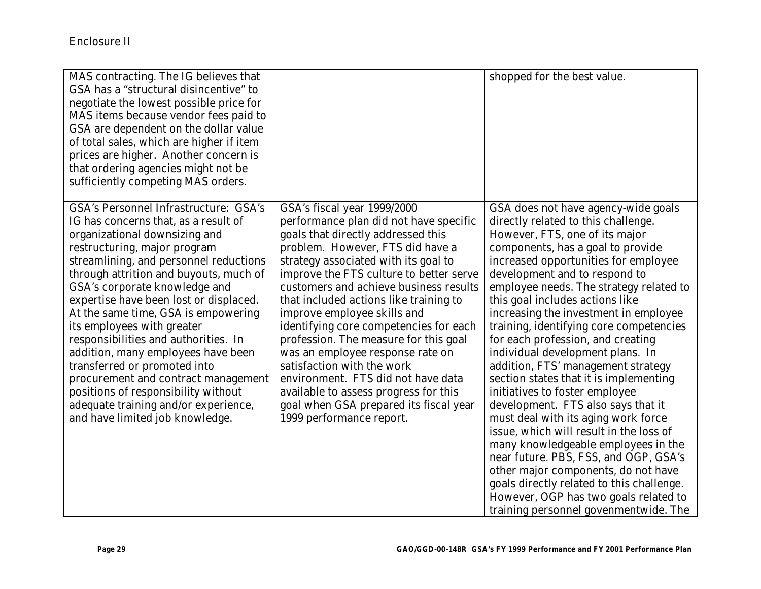| MAS contracting. The IG believes that<br>GSA has a "structural disincentive" to<br>negotiate the lowest possible price for<br>MAS items because vendor fees paid to<br>GSA are dependent on the dollar value<br>of total sales, which are higher if item<br>prices are higher. Another concern is<br>that ordering agencies might not be<br>sufficiently competing MAS orders.                                                                                                                                                                                                                                                                                   |                                                                                                                                                                                                                                                                                                                                                                                                                                                                                                                                                                                                                                                                 | shopped for the best value.                                                                                                                                                                                                                                                                                                                                                                                                                                                                                                                                                                                                                                                                                                                                                                                                                                                                                                                                           |
|------------------------------------------------------------------------------------------------------------------------------------------------------------------------------------------------------------------------------------------------------------------------------------------------------------------------------------------------------------------------------------------------------------------------------------------------------------------------------------------------------------------------------------------------------------------------------------------------------------------------------------------------------------------|-----------------------------------------------------------------------------------------------------------------------------------------------------------------------------------------------------------------------------------------------------------------------------------------------------------------------------------------------------------------------------------------------------------------------------------------------------------------------------------------------------------------------------------------------------------------------------------------------------------------------------------------------------------------|-----------------------------------------------------------------------------------------------------------------------------------------------------------------------------------------------------------------------------------------------------------------------------------------------------------------------------------------------------------------------------------------------------------------------------------------------------------------------------------------------------------------------------------------------------------------------------------------------------------------------------------------------------------------------------------------------------------------------------------------------------------------------------------------------------------------------------------------------------------------------------------------------------------------------------------------------------------------------|
| <b>GSA's Personnel Infrastructure: GSA's</b><br>IG has concerns that, as a result of<br>organizational downsizing and<br>restructuring, major program<br>streamlining, and personnel reductions<br>through attrition and buyouts, much of<br>GSA's corporate knowledge and<br>expertise have been lost or displaced.<br>At the same time, GSA is empowering<br>its employees with greater<br>responsibilities and authorities. In<br>addition, many employees have been<br>transferred or promoted into<br>procurement and contract management<br>positions of responsibility without<br>adequate training and/or experience,<br>and have limited job knowledge. | GSA's fiscal year 1999/2000<br>performance plan did not have specific<br>goals that directly addressed this<br>problem. However, FTS did have a<br>strategy associated with its goal to<br>improve the FTS culture to better serve<br>customers and achieve business results<br>that included actions like training to<br>improve employee skills and<br>identifying core competencies for each<br>profession. The measure for this goal<br>was an employee response rate on<br>satisfaction with the work<br>environment. FTS did not have data<br>available to assess progress for this<br>goal when GSA prepared its fiscal year<br>1999 performance report. | GSA does not have agency-wide goals<br>directly related to this challenge.<br>However, FTS, one of its major<br>components, has a goal to provide<br>increased opportunities for employee<br>development and to respond to<br>employee needs. The strategy related to<br>this goal includes actions like<br>increasing the investment in employee<br>training, identifying core competencies<br>for each profession, and creating<br>individual development plans. In<br>addition, FTS' management strategy<br>section states that it is implementing<br>initiatives to foster employee<br>development. FTS also says that it<br>must deal with its aging work force<br>issue, which will result in the loss of<br>many knowledgeable employees in the<br>near future. PBS, FSS, and OGP, GSA's<br>other major components, do not have<br>goals directly related to this challenge.<br>However, OGP has two goals related to<br>training personnel govenmentwide. The |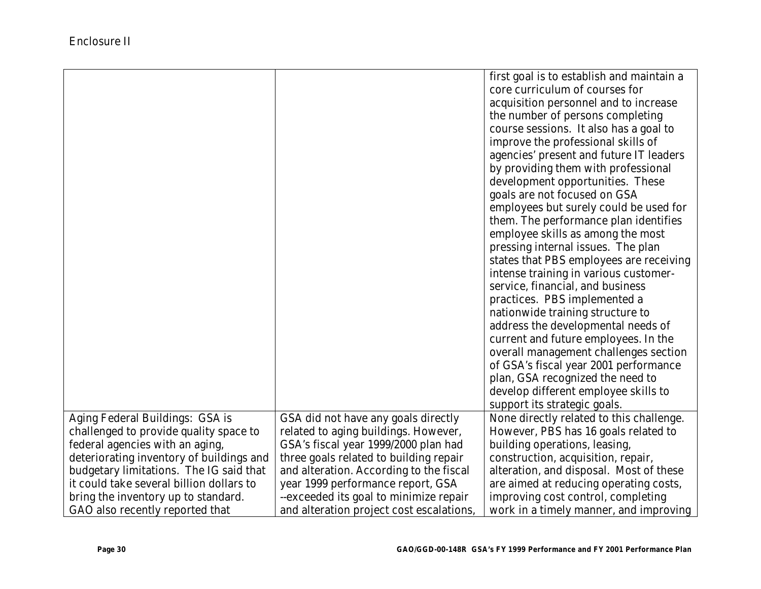|                                          |                                          | first goal is to establish and maintain a |
|------------------------------------------|------------------------------------------|-------------------------------------------|
|                                          |                                          | core curriculum of courses for            |
|                                          |                                          | acquisition personnel and to increase     |
|                                          |                                          | the number of persons completing          |
|                                          |                                          | course sessions. It also has a goal to    |
|                                          |                                          | improve the professional skills of        |
|                                          |                                          | agencies' present and future IT leaders   |
|                                          |                                          | by providing them with professional       |
|                                          |                                          | development opportunities. These          |
|                                          |                                          | goals are not focused on GSA              |
|                                          |                                          | employees but surely could be used for    |
|                                          |                                          | them. The performance plan identifies     |
|                                          |                                          | employee skills as among the most         |
|                                          |                                          | pressing internal issues. The plan        |
|                                          |                                          | states that PBS employees are receiving   |
|                                          |                                          | intense training in various customer-     |
|                                          |                                          | service, financial, and business          |
|                                          |                                          | practices. PBS implemented a              |
|                                          |                                          | nationwide training structure to          |
|                                          |                                          | address the developmental needs of        |
|                                          |                                          | current and future employees. In the      |
|                                          |                                          | overall management challenges section     |
|                                          |                                          | of GSA's fiscal year 2001 performance     |
|                                          |                                          | plan, GSA recognized the need to          |
|                                          |                                          | develop different employee skills to      |
|                                          |                                          | support its strategic goals.              |
| Aging Federal Buildings: GSA is          | GSA did not have any goals directly      | None directly related to this challenge.  |
| challenged to provide quality space to   | related to aging buildings. However,     | However, PBS has 16 goals related to      |
| federal agencies with an aging,          | GSA's fiscal year 1999/2000 plan had     | building operations, leasing,             |
| deteriorating inventory of buildings and | three goals related to building repair   | construction, acquisition, repair,        |
| budgetary limitations. The IG said that  | and alteration. According to the fiscal  | alteration, and disposal. Most of these   |
| it could take several billion dollars to | year 1999 performance report, GSA        | are aimed at reducing operating costs,    |
| bring the inventory up to standard.      | --exceeded its goal to minimize repair   | improving cost control, completing        |
| GAO also recently reported that          | and alteration project cost escalations, | work in a timely manner, and improving    |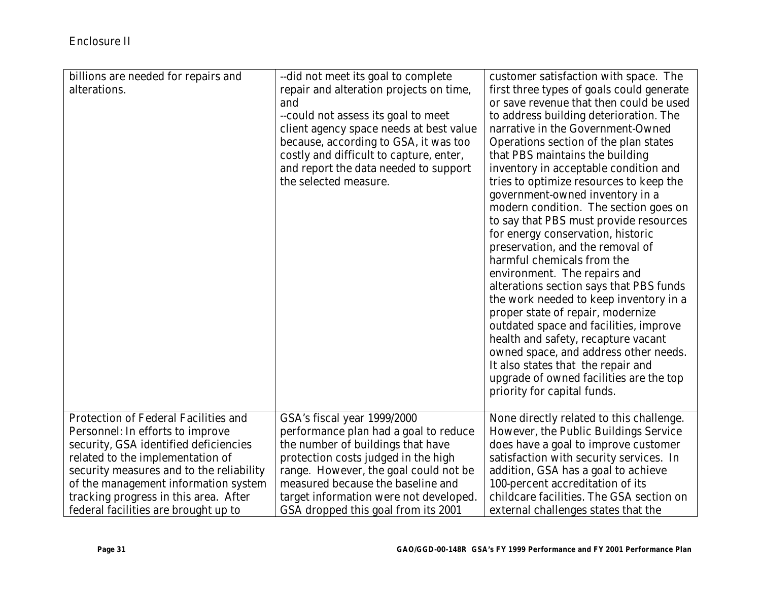| billions are needed for repairs and<br>alterations. | --did not meet its goal to complete<br>repair and alteration projects on time,<br>and<br>--could not assess its goal to meet<br>client agency space needs at best value<br>because, according to GSA, it was too<br>costly and difficult to capture, enter,<br>and report the data needed to support<br>the selected measure. | customer satisfaction with space. The<br>first three types of goals could generate<br>or save revenue that then could be used<br>to address building deterioration. The<br>narrative in the Government-Owned<br>Operations section of the plan states<br>that PBS maintains the building<br>inventory in acceptable condition and<br>tries to optimize resources to keep the<br>government-owned inventory in a<br>modern condition. The section goes on<br>to say that PBS must provide resources<br>for energy conservation, historic<br>preservation, and the removal of<br>harmful chemicals from the<br>environment. The repairs and<br>alterations section says that PBS funds<br>the work needed to keep inventory in a<br>proper state of repair, modernize<br>outdated space and facilities, improve<br>health and safety, recapture vacant<br>owned space, and address other needs.<br>It also states that the repair and<br>upgrade of owned facilities are the top<br>priority for capital funds. |
|-----------------------------------------------------|-------------------------------------------------------------------------------------------------------------------------------------------------------------------------------------------------------------------------------------------------------------------------------------------------------------------------------|---------------------------------------------------------------------------------------------------------------------------------------------------------------------------------------------------------------------------------------------------------------------------------------------------------------------------------------------------------------------------------------------------------------------------------------------------------------------------------------------------------------------------------------------------------------------------------------------------------------------------------------------------------------------------------------------------------------------------------------------------------------------------------------------------------------------------------------------------------------------------------------------------------------------------------------------------------------------------------------------------------------|
| <b>Protection of Federal Facilities and</b>         | GSA's fiscal year 1999/2000                                                                                                                                                                                                                                                                                                   | None directly related to this challenge.                                                                                                                                                                                                                                                                                                                                                                                                                                                                                                                                                                                                                                                                                                                                                                                                                                                                                                                                                                      |
| Personnel: In efforts to improve                    | performance plan had a goal to reduce                                                                                                                                                                                                                                                                                         | However, the Public Buildings Service                                                                                                                                                                                                                                                                                                                                                                                                                                                                                                                                                                                                                                                                                                                                                                                                                                                                                                                                                                         |
| security, GSA identified deficiencies               | the number of buildings that have                                                                                                                                                                                                                                                                                             | does have a goal to improve customer                                                                                                                                                                                                                                                                                                                                                                                                                                                                                                                                                                                                                                                                                                                                                                                                                                                                                                                                                                          |
| related to the implementation of                    | protection costs judged in the high                                                                                                                                                                                                                                                                                           | satisfaction with security services. In                                                                                                                                                                                                                                                                                                                                                                                                                                                                                                                                                                                                                                                                                                                                                                                                                                                                                                                                                                       |
| security measures and to the reliability            | range. However, the goal could not be                                                                                                                                                                                                                                                                                         | addition, GSA has a goal to achieve                                                                                                                                                                                                                                                                                                                                                                                                                                                                                                                                                                                                                                                                                                                                                                                                                                                                                                                                                                           |
| of the management information system                | measured because the baseline and                                                                                                                                                                                                                                                                                             | 100-percent accreditation of its                                                                                                                                                                                                                                                                                                                                                                                                                                                                                                                                                                                                                                                                                                                                                                                                                                                                                                                                                                              |
| tracking progress in this area. After               | target information were not developed.                                                                                                                                                                                                                                                                                        | childcare facilities. The GSA section on                                                                                                                                                                                                                                                                                                                                                                                                                                                                                                                                                                                                                                                                                                                                                                                                                                                                                                                                                                      |
| federal facilities are brought up to                | GSA dropped this goal from its 2001                                                                                                                                                                                                                                                                                           | external challenges states that the                                                                                                                                                                                                                                                                                                                                                                                                                                                                                                                                                                                                                                                                                                                                                                                                                                                                                                                                                                           |